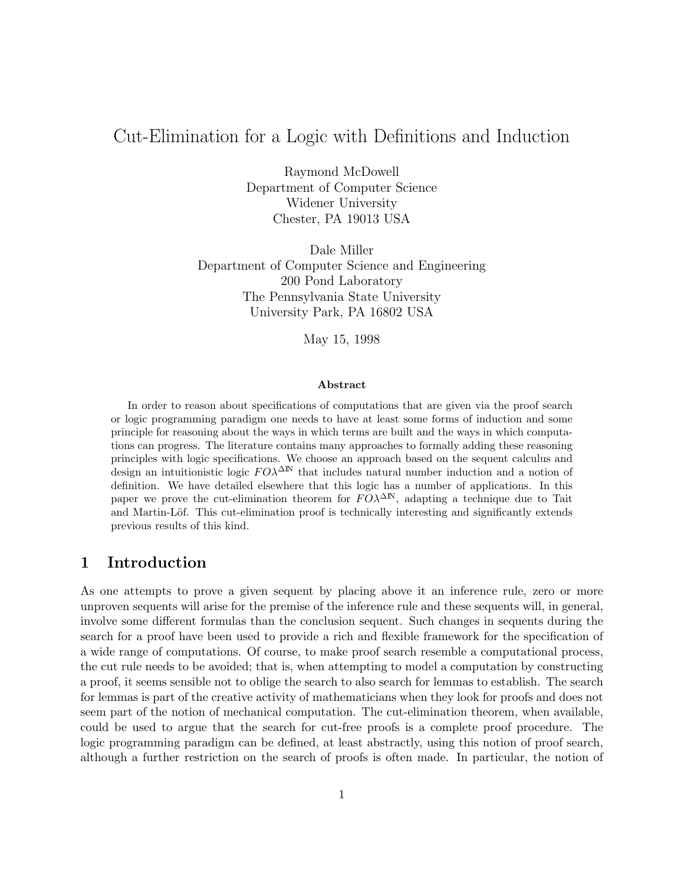# Cut-Elimination for a Logic with Definitions and Induction

Raymond McDowell Department of Computer Science Widener University Chester, PA 19013 USA

Dale Miller Department of Computer Science and Engineering 200 Pond Laboratory The Pennsylvania State University University Park, PA 16802 USA

May 15, 1998

#### Abstract

In order to reason about specifications of computations that are given via the proof search or logic programming paradigm one needs to have at least some forms of induction and some principle for reasoning about the ways in which terms are built and the ways in which computations can progress. The literature contains many approaches to formally adding these reasoning principles with logic specifications. We choose an approach based on the sequent calculus and design an intuitionistic logic  $F O \lambda^{\Delta N}$  that includes natural number induction and a notion of definition. We have detailed elsewhere that this logic has a number of applications. In this paper we prove the cut-elimination theorem for  $F O\lambda^{\Delta N}$ , adapting a technique due to Tait and Martin-Löf. This cut-elimination proof is technically interesting and significantly extends previous results of this kind.

## 1 Introduction

As one attempts to prove a given sequent by placing above it an inference rule, zero or more unproven sequents will arise for the premise of the inference rule and these sequents will, in general, involve some different formulas than the conclusion sequent. Such changes in sequents during the search for a proof have been used to provide a rich and flexible framework for the specification of a wide range of computations. Of course, to make proof search resemble a computational process, the cut rule needs to be avoided; that is, when attempting to model a computation by constructing a proof, it seems sensible not to oblige the search to also search for lemmas to establish. The search for lemmas is part of the creative activity of mathematicians when they look for proofs and does not seem part of the notion of mechanical computation. The cut-elimination theorem, when available, could be used to argue that the search for cut-free proofs is a complete proof procedure. The logic programming paradigm can be defined, at least abstractly, using this notion of proof search, although a further restriction on the search of proofs is often made. In particular, the notion of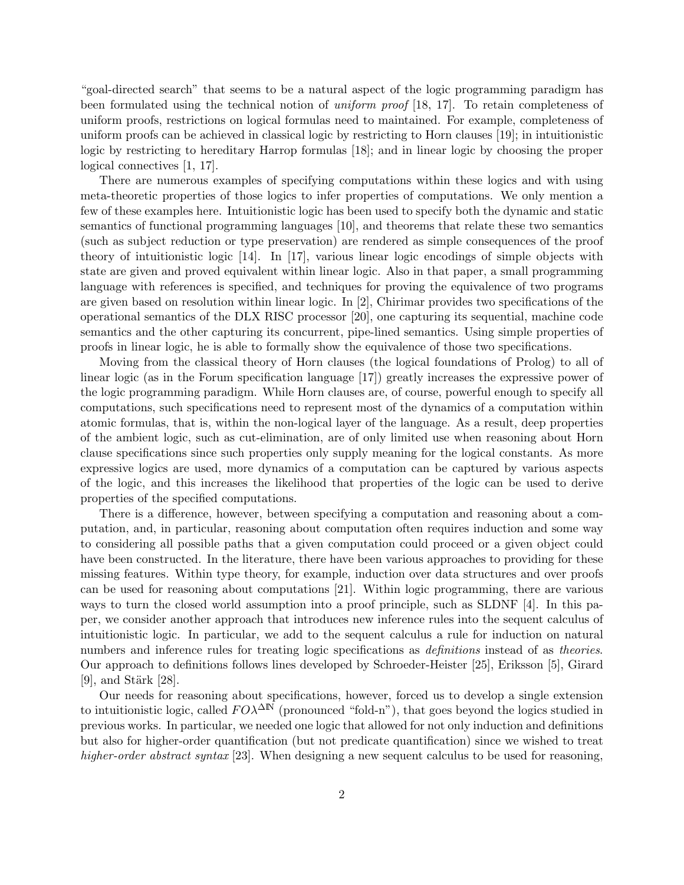"goal-directed search" that seems to be a natural aspect of the logic programming paradigm has been formulated using the technical notion of uniform proof [18, 17]. To retain completeness of uniform proofs, restrictions on logical formulas need to maintained. For example, completeness of uniform proofs can be achieved in classical logic by restricting to Horn clauses [19]; in intuitionistic logic by restricting to hereditary Harrop formulas [18]; and in linear logic by choosing the proper logical connectives [1, 17].

There are numerous examples of specifying computations within these logics and with using meta-theoretic properties of those logics to infer properties of computations. We only mention a few of these examples here. Intuitionistic logic has been used to specify both the dynamic and static semantics of functional programming languages [10], and theorems that relate these two semantics (such as subject reduction or type preservation) are rendered as simple consequences of the proof theory of intuitionistic logic [14]. In [17], various linear logic encodings of simple objects with state are given and proved equivalent within linear logic. Also in that paper, a small programming language with references is specified, and techniques for proving the equivalence of two programs are given based on resolution within linear logic. In [2], Chirimar provides two specifications of the operational semantics of the DLX RISC processor [20], one capturing its sequential, machine code semantics and the other capturing its concurrent, pipe-lined semantics. Using simple properties of proofs in linear logic, he is able to formally show the equivalence of those two specifications.

Moving from the classical theory of Horn clauses (the logical foundations of Prolog) to all of linear logic (as in the Forum specification language [17]) greatly increases the expressive power of the logic programming paradigm. While Horn clauses are, of course, powerful enough to specify all computations, such specifications need to represent most of the dynamics of a computation within atomic formulas, that is, within the non-logical layer of the language. As a result, deep properties of the ambient logic, such as cut-elimination, are of only limited use when reasoning about Horn clause specifications since such properties only supply meaning for the logical constants. As more expressive logics are used, more dynamics of a computation can be captured by various aspects of the logic, and this increases the likelihood that properties of the logic can be used to derive properties of the specified computations.

There is a difference, however, between specifying a computation and reasoning about a computation, and, in particular, reasoning about computation often requires induction and some way to considering all possible paths that a given computation could proceed or a given object could have been constructed. In the literature, there have been various approaches to providing for these missing features. Within type theory, for example, induction over data structures and over proofs can be used for reasoning about computations [21]. Within logic programming, there are various ways to turn the closed world assumption into a proof principle, such as SLDNF [4]. In this paper, we consider another approach that introduces new inference rules into the sequent calculus of intuitionistic logic. In particular, we add to the sequent calculus a rule for induction on natural numbers and inference rules for treating logic specifications as *definitions* instead of as *theories*. Our approach to definitions follows lines developed by Schroeder-Heister [25], Eriksson [5], Girard [9], and Stärk  $[28]$ .

Our needs for reasoning about specifications, however, forced us to develop a single extension to intuitionistic logic, called  $F O \lambda^{\Delta N}$  (pronounced "fold-n"), that goes beyond the logics studied in previous works. In particular, we needed one logic that allowed for not only induction and definitions but also for higher-order quantification (but not predicate quantification) since we wished to treat higher-order abstract syntax [23]. When designing a new sequent calculus to be used for reasoning,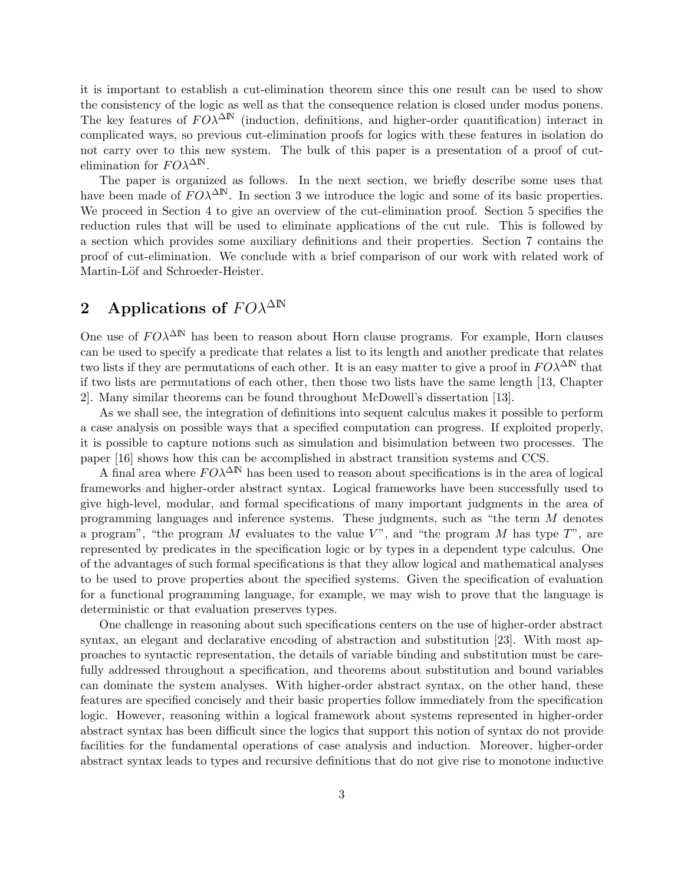it is important to establish a cut-elimination theorem since this one result can be used to show the consistency of the logic as well as that the consequence relation is closed under modus ponens. The key features of  $F O \lambda^{\Delta N}$  (induction, definitions, and higher-order quantification) interact in complicated ways, so previous cut-elimination proofs for logics with these features in isolation do not carry over to this new system. The bulk of this paper is a presentation of a proof of cutelimination for  $F O \lambda^{\Delta N}$ .

The paper is organized as follows. In the next section, we briefly describe some uses that have been made of  $F O \lambda^{\Delta N}$ . In section 3 we introduce the logic and some of its basic properties. We proceed in Section 4 to give an overview of the cut-elimination proof. Section 5 specifies the reduction rules that will be used to eliminate applications of the cut rule. This is followed by a section which provides some auxiliary definitions and their properties. Section 7 contains the proof of cut-elimination. We conclude with a brief comparison of our work with related work of Martin-Löf and Schroeder-Heister.

# 2 Applications of  $F O \lambda^{\Delta N}$

One use of  $F O \lambda^{\Delta N}$  has been to reason about Horn clause programs. For example, Horn clauses can be used to specify a predicate that relates a list to its length and another predicate that relates two lists if they are permutations of each other. It is an easy matter to give a proof in  $FO\lambda^{\Delta N}$  that if two lists are permutations of each other, then those two lists have the same length [13, Chapter 2]. Many similar theorems can be found throughout McDowell's dissertation [13].

As we shall see, the integration of definitions into sequent calculus makes it possible to perform a case analysis on possible ways that a specified computation can progress. If exploited properly, it is possible to capture notions such as simulation and bisimulation between two processes. The paper [16] shows how this can be accomplished in abstract transition systems and CCS.

A final area where  $F O \lambda^{\Delta N}$  has been used to reason about specifications is in the area of logical frameworks and higher-order abstract syntax. Logical frameworks have been successfully used to give high-level, modular, and formal specifications of many important judgments in the area of programming languages and inference systems. These judgments, such as "the term M denotes a program", "the program M evaluates to the value  $V$ ", and "the program M has type  $T$ ", are represented by predicates in the specification logic or by types in a dependent type calculus. One of the advantages of such formal specifications is that they allow logical and mathematical analyses to be used to prove properties about the specified systems. Given the specification of evaluation for a functional programming language, for example, we may wish to prove that the language is deterministic or that evaluation preserves types.

One challenge in reasoning about such specifications centers on the use of higher-order abstract syntax, an elegant and declarative encoding of abstraction and substitution [23]. With most approaches to syntactic representation, the details of variable binding and substitution must be carefully addressed throughout a specification, and theorems about substitution and bound variables can dominate the system analyses. With higher-order abstract syntax, on the other hand, these features are specified concisely and their basic properties follow immediately from the specification logic. However, reasoning within a logical framework about systems represented in higher-order abstract syntax has been difficult since the logics that support this notion of syntax do not provide facilities for the fundamental operations of case analysis and induction. Moreover, higher-order abstract syntax leads to types and recursive definitions that do not give rise to monotone inductive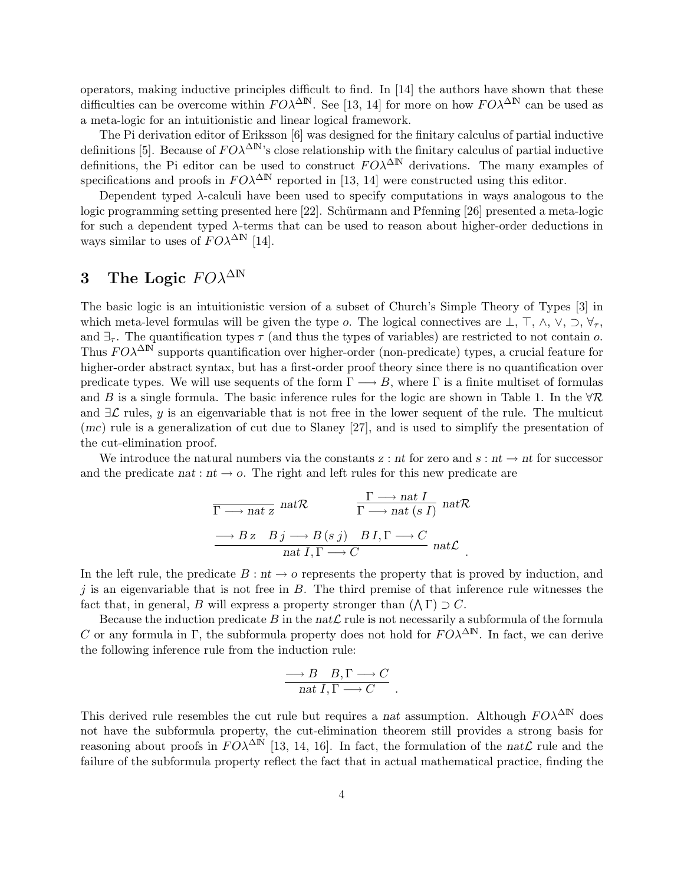operators, making inductive principles difficult to find. In [14] the authors have shown that these difficulties can be overcome within  $F O \lambda^{\Delta N}$ . See [13, 14] for more on how  $F O \lambda^{\Delta N}$  can be used as a meta-logic for an intuitionistic and linear logical framework.

The Pi derivation editor of Eriksson [6] was designed for the finitary calculus of partial inductive definitions [5]. Because of  $F O\lambda^{\Delta N}$ 's close relationship with the finitary calculus of partial inductive definitions, the Pi editor can be used to construct  $F O \lambda^{\Delta N}$  derivations. The many examples of specifications and proofs in  $FO\lambda^{\Delta N}$  reported in [13, 14] were constructed using this editor.

Dependent typed λ-calculi have been used to specify computations in ways analogous to the logic programming setting presented here [22]. Schürmann and Pfenning [26] presented a meta-logic for such a dependent typed  $\lambda$ -terms that can be used to reason about higher-order deductions in ways similar to uses of  $F O \lambda^{\Delta N}$  [14].

# 3 The Logic  $F O^{\Delta N}$

The basic logic is an intuitionistic version of a subset of Church's Simple Theory of Types [3] in which meta-level formulas will be given the type  $o$ . The logical connectives are  $\bot$ ,  $\top$ ,  $\wedge$ ,  $\vee$ ,  $\supset$ ,  $\forall_{\tau}$ , and  $\exists_{\tau}$ . The quantification types  $\tau$  (and thus the types of variables) are restricted to not contain o. Thus  $F O^{\Delta N}$  supports quantification over higher-order (non-predicate) types, a crucial feature for higher-order abstract syntax, but has a first-order proof theory since there is no quantification over predicate types. We will use sequents of the form  $\Gamma \longrightarrow B$ , where  $\Gamma$  is a finite multiset of formulas and B is a single formula. The basic inference rules for the logic are shown in Table 1. In the  $\forall \mathcal{R}$ and  $\exists \mathcal{L}$  rules, y is an eigenvariable that is not free in the lower sequent of the rule. The multicut (mc) rule is a generalization of cut due to Slaney [27], and is used to simplify the presentation of the cut-elimination proof.

We introduce the natural numbers via the constants  $z : nt$  for zero and  $s : nt \to nt$  for successor and the predicate nat :  $nt \rightarrow o$ . The right and left rules for this new predicate are

$$
\Gamma \longrightarrow \text{nat } z \quad \text{nat } \mathcal{R} \qquad \qquad \frac{\Gamma \longrightarrow \text{nat } I}{\Gamma \longrightarrow \text{nat } (s \ I)} \quad \text{nat } \mathcal{R}
$$
\n
$$
\longrightarrow B z \quad B j \longrightarrow B (s \ j) \quad B I, \Gamma \longrightarrow C
$$
\n
$$
\text{nat } I, \Gamma \longrightarrow C \qquad \text{nat } \mathcal{L} \quad .
$$

In the left rule, the predicate  $B : nt \to o$  represents the property that is proved by induction, and j is an eigenvariable that is not free in  $B$ . The third premise of that inference rule witnesses the fact that, in general, B will express a property stronger than  $(\wedge \Gamma) \supset C$ .

Because the induction predicate B in the nat $\mathcal L$  rule is not necessarily a subformula of the formula C or any formula in Γ, the subformula property does not hold for  $F O \lambda^{\Delta N}$ . In fact, we can derive the following inference rule from the induction rule:

$$
\frac{\longrightarrow B \quad B,\Gamma \longrightarrow C}{nat \ I,\Gamma \longrightarrow C}.
$$

This derived rule resembles the cut rule but requires a nat assumption. Although  $FO\lambda^{\Delta N}$  does not have the subformula property, the cut-elimination theorem still provides a strong basis for reasoning about proofs in  $FO\lambda^{\Delta N}$  [13, 14, 16]. In fact, the formulation of the nat $\mathcal L$  rule and the failure of the subformula property reflect the fact that in actual mathematical practice, finding the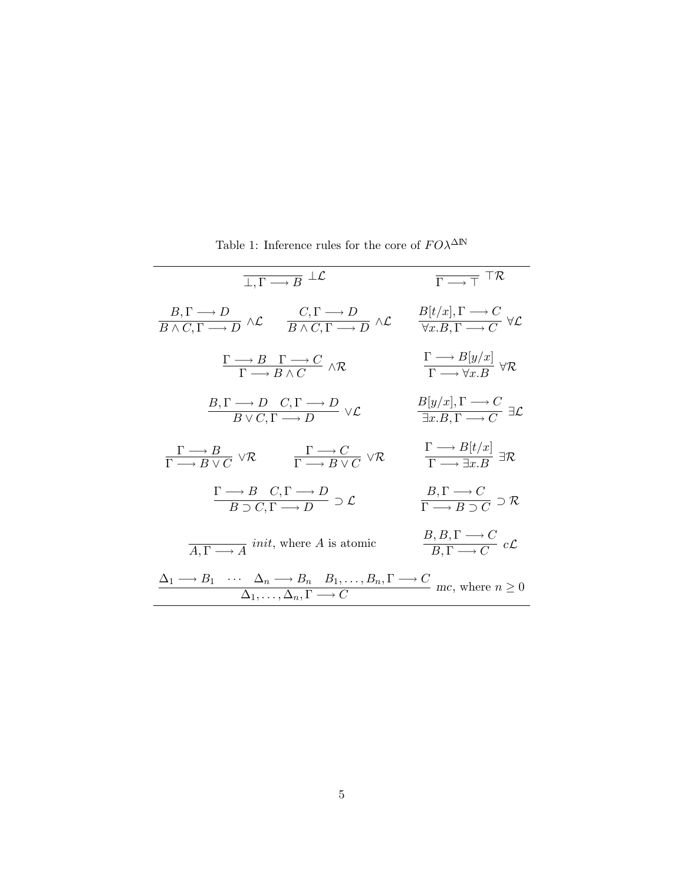| $\overline{\perp,\Gamma \longrightarrow B} \perp \mathcal{L}$                                                                                                                                        |                                                                                           | $\overline{\Gamma \rightarrow \Gamma}$ $\Gamma \mathcal{R}$                                              |
|------------------------------------------------------------------------------------------------------------------------------------------------------------------------------------------------------|-------------------------------------------------------------------------------------------|----------------------------------------------------------------------------------------------------------|
| $\frac{B,\Gamma \longrightarrow D}{B \land C,\Gamma \longrightarrow D} \land \mathcal{L}$                                                                                                            | $\frac{C,\Gamma \longrightarrow D}{B \land C.\Gamma \longrightarrow D} \land \mathcal{L}$ | $\frac{B[t/x], \Gamma \longrightarrow C}{\forall x . B, \Gamma \longrightarrow C} \ \forall \mathcal{L}$ |
| $\frac{\Gamma \longrightarrow B \quad \Gamma \longrightarrow C}{\Gamma \longrightarrow B \land C} \land \mathcal{R}$                                                                                 |                                                                                           | $\frac{\Gamma \longrightarrow B[y/x]}{\Gamma \longrightarrow \forall x \; B} \; \forall \mathcal{R}$     |
| $\frac{B,\Gamma \longrightarrow D \quad C,\Gamma \longrightarrow D}{B \vee C,\Gamma \longrightarrow D} \vee \mathcal{L}$                                                                             |                                                                                           | $\frac{B[y/x], \Gamma \longrightarrow C}{\exists x.B. \Gamma \longrightarrow C} \exists \mathcal{L}$     |
| $\frac{\Gamma \longrightarrow B}{\Gamma \longrightarrow B \vee C} \vee \mathcal{R}$                                                                                                                  | $\frac{\Gamma \longrightarrow C}{\Gamma \longrightarrow B \vee C} \vee \mathcal{R}$       | $\frac{\Gamma \longrightarrow B[t/x]}{\Gamma \longrightarrow \exists x \; B} \; \exists \mathcal{R}$     |
| $\frac{\Gamma \longrightarrow B \quad C, \Gamma \longrightarrow D}{B \supset C, \Gamma \longrightarrow D} \supset \mathcal{L}$                                                                       |                                                                                           | $\frac{B,\Gamma\longrightarrow C}{\Gamma\longrightarrow B\supset C}\supset\mathcal{R}$                   |
| $\overline{A.\Gamma \longrightarrow A}$ <i>init</i> , where A is atomic                                                                                                                              |                                                                                           | $\frac{B, B, \Gamma \longrightarrow C}{B, \Gamma \longrightarrow C} c\mathcal{L}$                        |
| $\frac{\Delta_1 \longrightarrow B_1 \cdots \Delta_n \longrightarrow B_n \quad B_1, \ldots, B_n, \Gamma \longrightarrow C}{\Delta_1, \ldots, \Delta_n, \Gamma \longrightarrow C}$ mc, where $n \ge 0$ |                                                                                           |                                                                                                          |

Table 1: Inference rules for the core of  $F O\lambda^{\Delta {\mathbb N}}$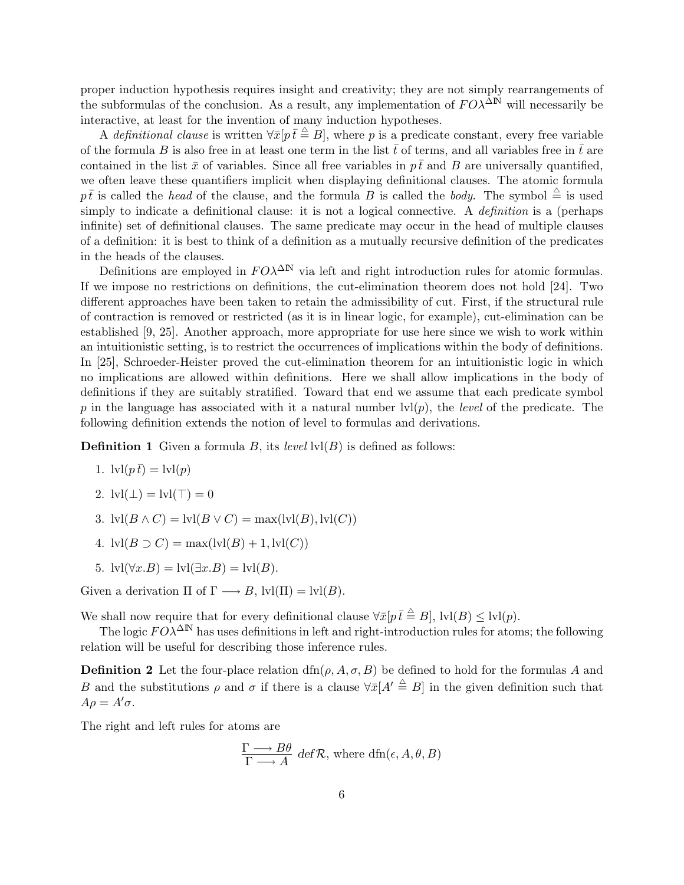proper induction hypothesis requires insight and creativity; they are not simply rearrangements of the subformulas of the conclusion. As a result, any implementation of  $F O^{\Delta N}$  will necessarily be interactive, at least for the invention of many induction hypotheses.

A definitional clause is written  $\forall \bar{x} [p \bar{t} \stackrel{\triangle}{=} B]$ , where p is a predicate constant, every free variable of the formula B is also free in at least one term in the list  $\bar{t}$  of terms, and all variables free in  $\bar{t}$  are contained in the list  $\bar{x}$  of variables. Since all free variables in  $p\bar{t}$  and B are universally quantified, we often leave these quantifiers implicit when displaying definitional clauses. The atomic formula  $p\bar{t}$  is called the head of the clause, and the formula B is called the body. The symbol  $\stackrel{\triangle}{=}$  is used simply to indicate a definitional clause: it is not a logical connective. A *definition* is a (perhaps infinite) set of definitional clauses. The same predicate may occur in the head of multiple clauses of a definition: it is best to think of a definition as a mutually recursive definition of the predicates in the heads of the clauses.

Definitions are employed in  $F O\lambda^{\Delta N}$  via left and right introduction rules for atomic formulas. If we impose no restrictions on definitions, the cut-elimination theorem does not hold [24]. Two different approaches have been taken to retain the admissibility of cut. First, if the structural rule of contraction is removed or restricted (as it is in linear logic, for example), cut-elimination can be established [9, 25]. Another approach, more appropriate for use here since we wish to work within an intuitionistic setting, is to restrict the occurrences of implications within the body of definitions. In [25], Schroeder-Heister proved the cut-elimination theorem for an intuitionistic logic in which no implications are allowed within definitions. Here we shall allow implications in the body of definitions if they are suitably stratified. Toward that end we assume that each predicate symbol p in the language has associated with it a natural number  $\text{lvl}(p)$ , the *level* of the predicate. The following definition extends the notion of level to formulas and derivations.

**Definition 1** Given a formula B, its level  $\text{lvl}(B)$  is defined as follows:

1.  $\text{lvl}(p\bar{t}) = \text{lvl}(p)$ 

2. 
$$
Ivl(\perp) = Ivl(\top) = 0
$$

- 3.  $\text{lvl}(B \wedge C) = \text{lvl}(B \vee C) = \max(\text{lvl}(B), \text{lvl}(C))$
- 4.  $\text{lvl}(B \supset C) = \max(\text{lvl}(B) + 1, \text{lvl}(C))$
- 5.  $\text{lvl}(\forall x.B) = \text{lvl}(\exists x.B) = \text{lvl}(B).$

Given a derivation  $\Pi$  of  $\Gamma \longrightarrow B$ ,  $\text{lvl}(\Pi) = \text{lvl}(B)$ .

We shall now require that for every definitional clause  $\forall \bar{x} [p \bar{t} \stackrel{\triangle}{=} B]$ ,  $| \text{vl}(B) \leq | \text{vl}(p)$ .

The logic  $F O \lambda^{\Delta N}$  has uses definitions in left and right-introduction rules for atoms; the following relation will be useful for describing those inference rules.

**Definition 2** Let the four-place relation  $\text{dfn}(\rho, A, \sigma, B)$  be defined to hold for the formulas A and B and the substitutions  $\rho$  and  $\sigma$  if there is a clause  $\forall \bar{x}[A' \stackrel{\triangle}{=} B]$  in the given definition such that  $A\rho = A'\sigma.$ 

The right and left rules for atoms are

$$
\frac{\Gamma \longrightarrow B\theta}{\Gamma \longrightarrow A} \text{ def } \mathcal{R}, \text{ where } df(\epsilon, A, \theta, B)
$$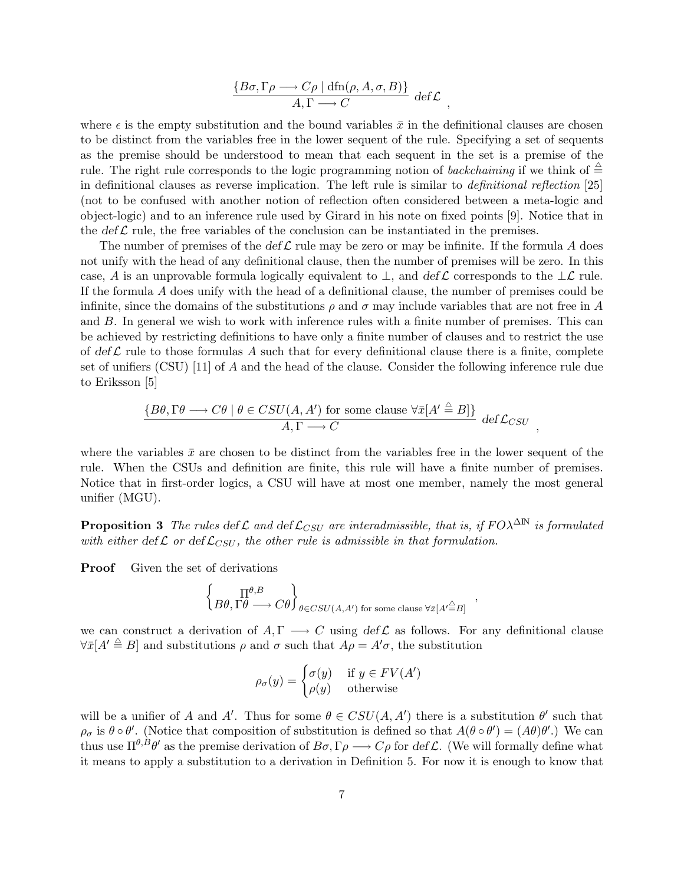$$
\frac{\{B\sigma, \Gamma\rho \longrightarrow C\rho \mid \text{dfn}(\rho, A, \sigma, B)\}}{A, \Gamma \longrightarrow C} \text{ def } \mathcal{L},
$$

where  $\epsilon$  is the empty substitution and the bound variables  $\bar{x}$  in the definitional clauses are chosen to be distinct from the variables free in the lower sequent of the rule. Specifying a set of sequents as the premise should be understood to mean that each sequent in the set is a premise of the rule. The right rule corresponds to the logic programming notion of *backchaining* if we think of  $\triangleq$ in definitional clauses as reverse implication. The left rule is similar to definitional reflection [25] (not to be confused with another notion of reflection often considered between a meta-logic and object-logic) and to an inference rule used by Girard in his note on fixed points [9]. Notice that in the  $\det \mathcal{L}$  rule, the free variables of the conclusion can be instantiated in the premises.

The number of premises of the def  $\mathcal L$  rule may be zero or may be infinite. If the formula A does not unify with the head of any definitional clause, then the number of premises will be zero. In this case, A is an unprovable formula logically equivalent to  $\perp$ , and def L corresponds to the  $\perp \mathcal{L}$  rule. If the formula A does unify with the head of a definitional clause, the number of premises could be infinite, since the domains of the substitutions  $\rho$  and  $\sigma$  may include variables that are not free in A and B. In general we wish to work with inference rules with a finite number of premises. This can be achieved by restricting definitions to have only a finite number of clauses and to restrict the use of def  $\mathcal L$  rule to those formulas A such that for every definitional clause there is a finite, complete set of unifiers (CSU) [11] of A and the head of the clause. Consider the following inference rule due to Eriksson [5]

$$
\frac{\{B\theta, \Gamma\theta \longrightarrow C\theta \mid \theta \in CSU(A, A') \text{ for some clause } \forall \bar{x}[A' \stackrel{\triangle}{=} B]\}}{A, \Gamma \longrightarrow C} \text{ def } \mathcal{L}_{CSU}
$$

,

where the variables  $\bar{x}$  are chosen to be distinct from the variables free in the lower sequent of the rule. When the CSUs and definition are finite, this rule will have a finite number of premises. Notice that in first-order logics, a CSU will have at most one member, namely the most general unifier (MGU).

**Proposition 3** The rules def L and def  $\mathcal{L}_{CSU}$  are interadmissible, that is, if  $FO\lambda^{\Delta N}$  is formulated with either def  $\mathcal{L}_{CSU}$ , the other rule is admissible in that formulation.

**Proof** Given the set of derivations

$$
\left\{ \underset{B\theta, \Gamma\theta \longrightarrow C\theta}{\Pi^{\theta,B}} \right\}_{\theta \in CSU(A,A')} \text{ for some clause } \forall \bar{x}[A' \stackrel{\triangle}{=} B] \longrightarrow
$$

we can construct a derivation of  $A, \Gamma \longrightarrow C$  using  $\det \mathcal{L}$  as follows. For any definitional clause  $\forall \bar{x}[A' \stackrel{\triangle}{=} B]$  and substitutions  $\rho$  and  $\sigma$  such that  $A\rho = A'\sigma$ , the substitution

$$
\rho_{\sigma}(y) = \begin{cases} \sigma(y) & \text{if } y \in FV(A')\\ \rho(y) & \text{otherwise} \end{cases}
$$

will be a unifier of A and A'. Thus for some  $\theta \in CSU(A, A')$  there is a substitution  $\theta'$  such that  $\rho_{\sigma}$  is  $\theta \circ \theta'$ . (Notice that composition of substitution is defined so that  $A(\theta \circ \theta') = (A\theta)\theta'$ .) We can thus use  $\Pi^{\theta,B}\theta'$  as the premise derivation of  $B\sigma,\Gamma\rho\longrightarrow C\rho$  for def L. (We will formally define what it means to apply a substitution to a derivation in Definition 5. For now it is enough to know that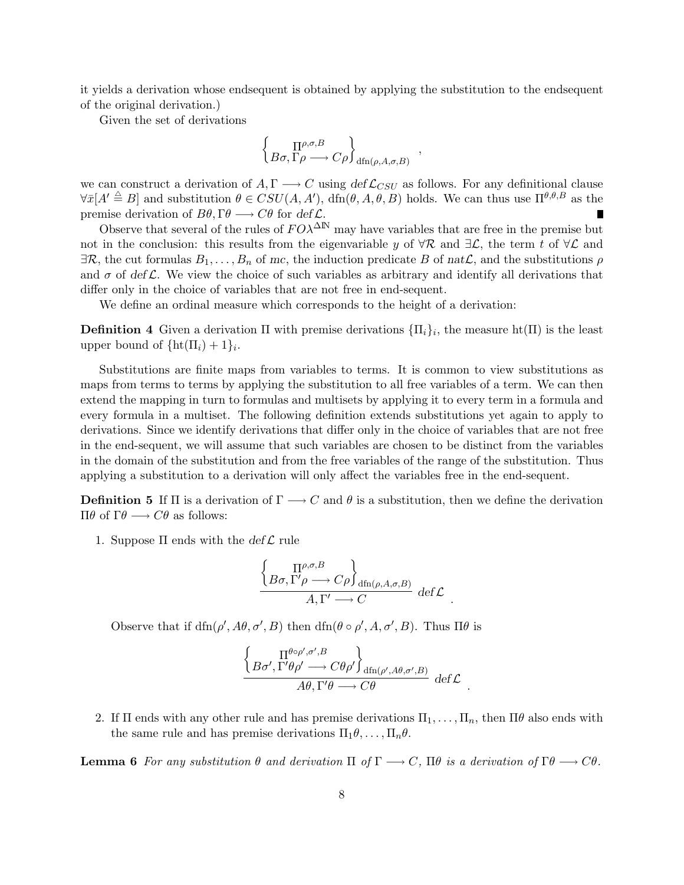it yields a derivation whose endsequent is obtained by applying the substitution to the endsequent of the original derivation.)

Given the set of derivations

$$
\left\{ \underset{B\sigma, \Gamma\rho \longrightarrow C\rho}{\Pi^{\rho, \sigma, B}} \right\}_{\text{dfn}(\rho, A, \sigma, B)},
$$

we can construct a derivation of  $A, \Gamma \longrightarrow C$  using  $\det \mathcal{L}_{CSU}$  as follows. For any definitional clause  $\forall \bar{x}[A' \stackrel{\triangle}{=} B]$  and substitution  $\theta \in CSU(A, A'), \dim(\theta, A, \theta, B)$  holds. We can thus use  $\Pi^{\theta, \theta, B}$  as the premise derivation of  $B\theta$ ,  $\Gamma\theta \longrightarrow C\theta$  for def  $\mathcal{L}$ . п

Observe that several of the rules of  $F O \lambda^{\Delta N}$  may have variables that are free in the premise but not in the conclusion: this results from the eigenvariable y of  $\forall \mathcal{R}$  and  $\exists \mathcal{L}$ , the term t of  $\forall \mathcal{L}$  and  $\exists \mathcal{R}$ , the cut formulas  $B_1, \ldots, B_n$  of mc, the induction predicate B of nat $\mathcal{L}$ , and the substitutions  $\rho$ and  $\sigma$  of def L. We view the choice of such variables as arbitrary and identify all derivations that differ only in the choice of variables that are not free in end-sequent.

We define an ordinal measure which corresponds to the height of a derivation:

**Definition 4** Given a derivation  $\Pi$  with premise derivations  ${\Pi_i}_i$ , the measure ht $(\Pi)$  is the least upper bound of  $\{\text{ht}(\Pi_i) + 1\}_i$ .

Substitutions are finite maps from variables to terms. It is common to view substitutions as maps from terms to terms by applying the substitution to all free variables of a term. We can then extend the mapping in turn to formulas and multisets by applying it to every term in a formula and every formula in a multiset. The following definition extends substitutions yet again to apply to derivations. Since we identify derivations that differ only in the choice of variables that are not free in the end-sequent, we will assume that such variables are chosen to be distinct from the variables in the domain of the substitution and from the free variables of the range of the substitution. Thus applying a substitution to a derivation will only affect the variables free in the end-sequent.

**Definition 5** If  $\Pi$  is a derivation of  $\Gamma \longrightarrow C$  and  $\theta$  is a substitution, then we define the derivation  $\Pi$ θ of Γθ →  $C$ θ as follows:

1. Suppose  $\Pi$  ends with the  $\det \mathcal{L}$  rule

$$
\frac{\left\{\n\prod_{\rho,\sigma,B}\n\right\}}{B\sigma,\Gamma'\rho \longrightarrow C\rho\n\int_{dfn(\rho,A,\sigma,B)}\n\det \mathcal{L}}
$$

.

.

Observe that if  $\dim(\rho', A\theta, \sigma', B)$  then  $\dim(\theta \circ \rho', A, \sigma', B)$ . Thus  $\Pi \theta$  is

$$
\frac{\left\{ B\sigma',\Gamma'\theta\rho',\sigma',B\atop B\sigma',\Gamma'\theta\rho'\longrightarrow C\theta\rho'\right\}_{\mathrm{dfn}(\rho',A\theta,\sigma',B)}}{A\theta,\Gamma'\theta\longrightarrow C\theta}\ \mathrm{def}\mathcal{L}
$$

2. If  $\Pi$  ends with any other rule and has premise derivations  $\Pi_1, \ldots, \Pi_n$ , then  $\Pi\theta$  also ends with the same rule and has premise derivations  $\Pi_1 \theta, \ldots, \Pi_n \theta$ .

**Lemma 6** For any substitution  $\theta$  and derivation  $\Pi$  of  $\Gamma \longrightarrow C$ ,  $\Pi \theta$  is a derivation of  $\Gamma \theta \longrightarrow C \theta$ .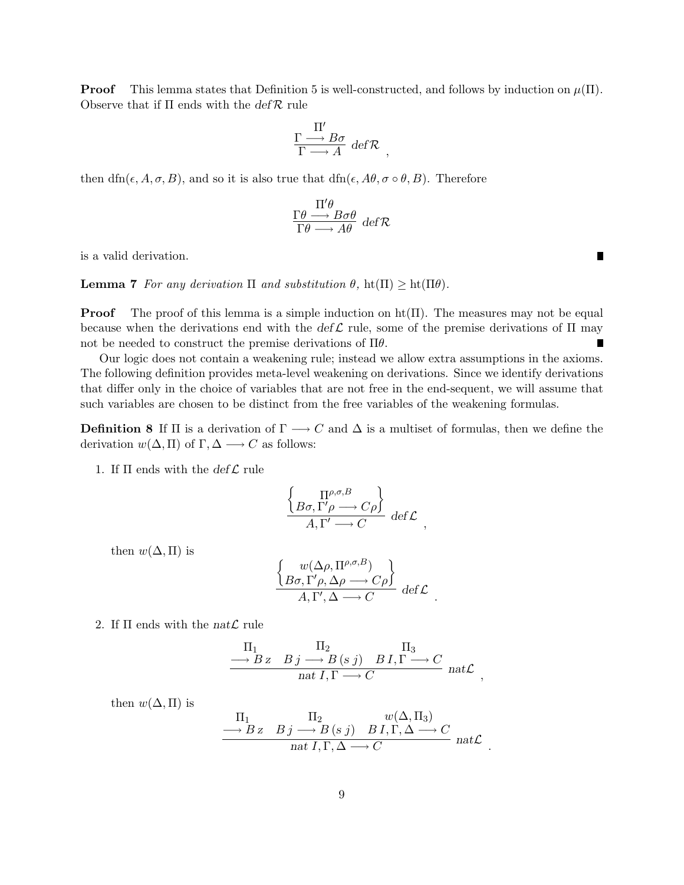**Proof** This lemma states that Definition 5 is well-constructed, and follows by induction on  $\mu(\Pi)$ . Observe that if  $\Pi$  ends with the  $\text{def } \mathcal{R}$  rule

$$
\frac{\Gamma \longrightarrow B\sigma}{\Gamma \longrightarrow A} \, \, \text{def } \mathcal{R} \ ,
$$

then dfn( $\epsilon$ , A,  $\sigma$ , B), and so it is also true that dfn( $\epsilon$ , A $\theta$ ,  $\sigma \circ \theta$ , B). Therefore

$$
\frac{\Pi'\theta}{\Gamma\theta \longrightarrow B\sigma\theta} \text{ def } \mathcal{R}
$$

is a valid derivation.

**Lemma 7** For any derivation  $\Pi$  and substitution  $\theta$ ,  $\text{ht}(\Pi) \geq \text{ht}(\Pi \theta)$ .

**Proof** The proof of this lemma is a simple induction on  $ht(\Pi)$ . The measures may not be equal because when the derivations end with the def L rule, some of the premise derivations of  $\Pi$  may not be needed to construct the premise derivations of  $\Pi\theta$ . г

Our logic does not contain a weakening rule; instead we allow extra assumptions in the axioms. The following definition provides meta-level weakening on derivations. Since we identify derivations that differ only in the choice of variables that are not free in the end-sequent, we will assume that such variables are chosen to be distinct from the free variables of the weakening formulas.

**Definition 8** If  $\Pi$  is a derivation of  $\Gamma \longrightarrow C$  and  $\Delta$  is a multiset of formulas, then we define the derivation  $w(\Delta, \Pi)$  of  $\Gamma, \Delta \longrightarrow C$  as follows:

1. If  $\Pi$  ends with the  $\det \mathcal{L}$  rule

$$
\frac{\left\{\n\prod_{\rho,\sigma,B}\n\right\}}{A,\Gamma'\longrightarrow C}\n\det^{\rho} \mathcal{L},
$$

then  $w(\Delta,\Pi)$  is

$$
\frac{\begin{Bmatrix} w(\Delta\rho,\Pi^{\rho,\sigma,B}) \\ B\sigma,\Gamma'\rho,\Delta\rho\longrightarrow C\rho \end{Bmatrix}}{A,\Gamma',\Delta\longrightarrow C} \, \det \mathcal{L} \, .
$$

2. If  $\Pi$  ends with the nat $\mathcal L$  rule

$$
\frac{\Pi_{1}}{\longrightarrow B z} \xrightarrow{B j \longrightarrow B (s j)} \frac{\Pi_{3}}{B I, \Gamma \longrightarrow C} \text{nat } \mathcal{L}
$$

,

.

then  $w(\Delta, \Pi)$  is

$$
\frac{\Pi_1}{\longrightarrow B \, z \quad B \, j \longrightarrow B \, (s \, j) \quad B \, I, \Gamma, \Delta \longrightarrow C} \text{nat } I, \Gamma, \Delta \longrightarrow C \text{nat } L
$$

п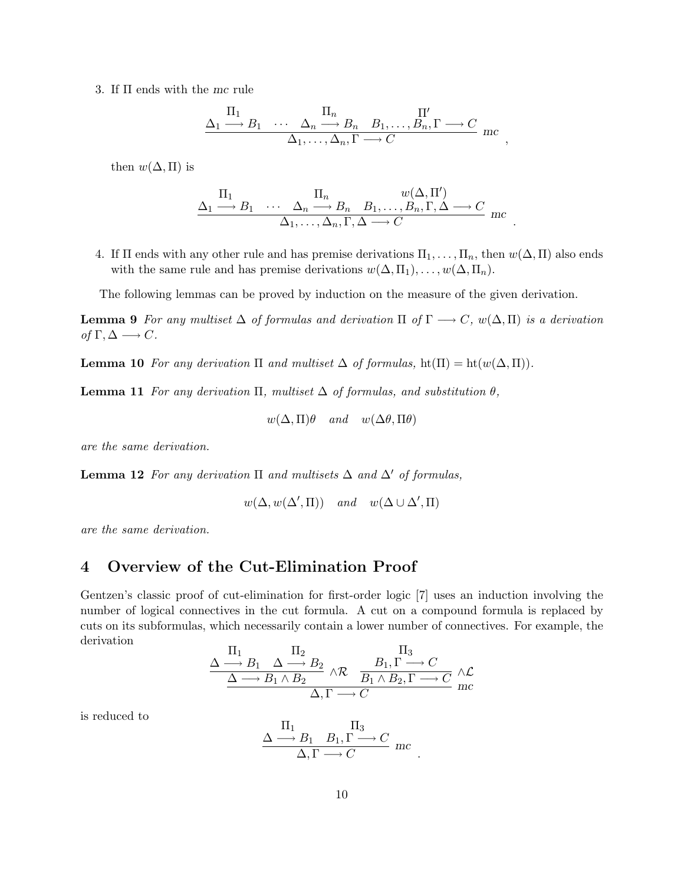3. If Π ends with the mc rule

$$
\frac{\Pi_1}{\Delta_1 \longrightarrow B_1 \cdots \Delta_n \longrightarrow B_n B_1, \dots, B_n, \Gamma \longrightarrow C \Delta_1, \dots, \Delta_n, \Gamma \longrightarrow C \text{mc}
$$

,

.

then  $w(\Delta, \Pi)$  is

$$
\frac{\Pi_1}{\Delta_1 \longrightarrow B_1 \quad \cdots \quad \Delta_n \longrightarrow B_n \quad B_1, \ldots, B_n, \Gamma, \Delta \longrightarrow C \atop \Delta_1, \ldots, \Delta_n, \Gamma, \Delta \longrightarrow C \quad \text{mc}
$$

4. If  $\Pi$  ends with any other rule and has premise derivations  $\Pi_1, \ldots, \Pi_n$ , then  $w(\Delta, \Pi)$  also ends with the same rule and has premise derivations  $w(\Delta, \Pi_1), \ldots, w(\Delta, \Pi_n)$ .

The following lemmas can be proved by induction on the measure of the given derivation.

**Lemma 9** For any multiset  $\Delta$  of formulas and derivation  $\Pi$  of  $\Gamma \longrightarrow C$ ,  $w(\Delta, \Pi)$  is a derivation of  $\Gamma, \Delta \longrightarrow C$ .

**Lemma 10** For any derivation  $\Pi$  and multiset  $\Delta$  of formulas,  $\text{ht}(\Pi) = \text{ht}(w(\Delta, \Pi)).$ 

**Lemma 11** For any derivation  $\Pi$ , multiset  $\Delta$  of formulas, and substitution  $\theta$ ,

 $w(\Delta,\Pi)\theta$  and  $w(\Delta\theta,\Pi\theta)$ 

are the same derivation.

**Lemma 12** For any derivation  $\Pi$  and multisets  $\Delta$  and  $\Delta'$  of formulas,

$$
w(\Delta, w(\Delta', \Pi))
$$
 and  $w(\Delta \cup \Delta', \Pi)$ 

are the same derivation.

## 4 Overview of the Cut-Elimination Proof

Gentzen's classic proof of cut-elimination for first-order logic [7] uses an induction involving the number of logical connectives in the cut formula. A cut on a compound formula is replaced by cuts on its subformulas, which necessarily contain a lower number of connectives. For example, the derivation  $\mathbf{r}$  $\mathbf{r}$ 

$$
\frac{\Delta \stackrel{\prod_1}{\longrightarrow} B_1 \quad \Delta \stackrel{\prod_2}{\longrightarrow} B_2}{\Delta \stackrel{\prod_1}{\longrightarrow} B_1 \land B_2} \land \mathcal{R} \quad \frac{B_1, \Gamma \stackrel{\prod_3}{\longrightarrow} C}{B_1 \land B_2, \Gamma \stackrel{\prod_2}{\longrightarrow} C} \land \mathcal{L}
$$
  

$$
\Delta, \Gamma \stackrel{\prod_2}{\longrightarrow} C
$$

is reduced to

$$
\frac{\Lambda \xrightarrow{\Pi_1} B_1, \Gamma \xrightarrow{\Pi_3} C}{\Delta, \Gamma \longrightarrow C} mc
$$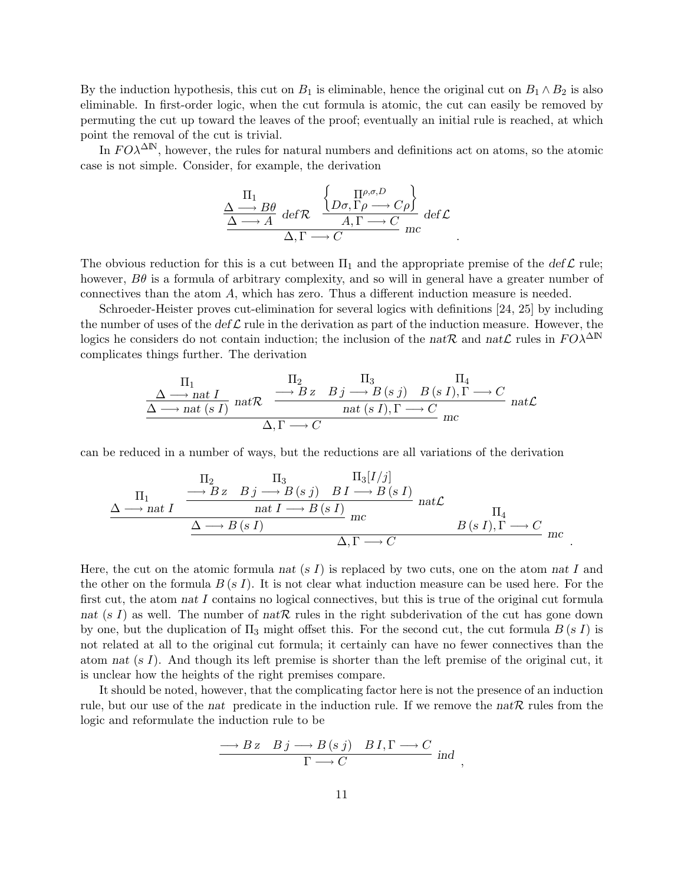By the induction hypothesis, this cut on  $B_1$  is eliminable, hence the original cut on  $B_1 \wedge B_2$  is also eliminable. In first-order logic, when the cut formula is atomic, the cut can easily be removed by permuting the cut up toward the leaves of the proof; eventually an initial rule is reached, at which point the removal of the cut is trivial.

In  $FO\lambda^{\Delta N}$ , however, the rules for natural numbers and definitions act on atoms, so the atomic case is not simple. Consider, for example, the derivation

$$
\frac{\frac{\Pi_1}{\Delta \longrightarrow B\theta} \text{ def } \mathcal{R}}{\frac{\Delta \longrightarrow A} \text{ def } \mathcal{R}} \xrightarrow{\begin{Bmatrix} \prod_{\rho,\sigma,D} & \Delta \end{Bmatrix}} \frac{\left\{ D_{\sigma}, \Gamma_{\rho} \longrightarrow C_{\rho} \right\}}{A, \Gamma \longrightarrow C} \text{ def } \mathcal{L}
$$

.

.

The obvious reduction for this is a cut between  $\Pi_1$  and the appropriate premise of the def L rule; however,  $B\theta$  is a formula of arbitrary complexity, and so will in general have a greater number of connectives than the atom A, which has zero. Thus a different induction measure is needed.

Schroeder-Heister proves cut-elimination for several logics with definitions [24, 25] by including the number of uses of the def  $\mathcal L$  rule in the derivation as part of the induction measure. However, the logics he considers do not contain induction; the inclusion of the natR and natL rules in  $FO\lambda^{\Delta N}$ complicates things further. The derivation

$$
\frac{\Pi_1}{\Delta \longrightarrow nat \; I} \quad \text{nat } \mathcal{R} \quad \frac{\Pi_2}{\longrightarrow B \; z \quad B \; j \longrightarrow B \; (s \; j) \quad B \; (s \; I), \Gamma \longrightarrow C} \quad \text{nat } \mathcal{L}
$$
\n
$$
\frac{\Delta \longrightarrow nat \; (s \; I) \quad nat \; R}{\Delta, \Gamma \longrightarrow C} \quad \text{nat } \mathcal{L}
$$

can be reduced in a number of ways, but the reductions are all variations of the derivation

$$
\frac{\Pi_{2}}{\Delta \longrightarrow \text{nat } I} \xrightarrow{\Pi_{2}} B \text{ is } \text{ is } j \longrightarrow B \text{ (s } j) \text{ is } I \longrightarrow B \text{ (s } I)
$$
\n
$$
\frac{\Delta \longrightarrow \text{nat } I \longrightarrow B \text{ (s } I)}{\Delta \longrightarrow B \text{ (s } I)} \text{ are } \text{ at } \text{ as } I \longrightarrow C
$$
\n
$$
\frac{\Delta \longrightarrow B \text{ (s } I)}{\Delta, \Gamma \longrightarrow C} \text{ are } B \text{ (s } I), \Gamma \longrightarrow C
$$

Here, the cut on the atomic formula nat (s I) is replaced by two cuts, one on the atom nat I and the other on the formula  $B(s I)$ . It is not clear what induction measure can be used here. For the first cut, the atom nat I contains no logical connectives, but this is true of the original cut formula nat (s I) as well. The number of natR rules in the right subderivation of the cut has gone down by one, but the duplication of  $\Pi_3$  might offset this. For the second cut, the cut formula  $B(sI)$  is not related at all to the original cut formula; it certainly can have no fewer connectives than the atom nat  $(s I)$ . And though its left premise is shorter than the left premise of the original cut, it is unclear how the heights of the right premises compare.

It should be noted, however, that the complicating factor here is not the presence of an induction rule, but our use of the nat predicate in the induction rule. If we remove the natR rules from the logic and reformulate the induction rule to be

$$
\frac{\longrightarrow Bz \quad Bj \longrightarrow B(sj) \quad BI, \Gamma \longrightarrow C}{\Gamma \longrightarrow C} \text{ind} ,
$$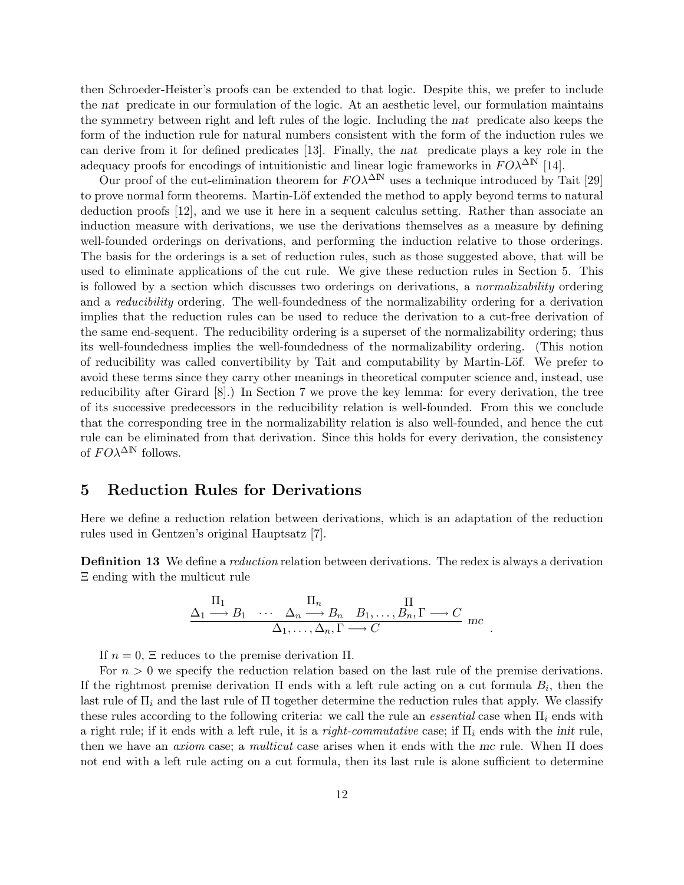then Schroeder-Heister's proofs can be extended to that logic. Despite this, we prefer to include the nat predicate in our formulation of the logic. At an aesthetic level, our formulation maintains the symmetry between right and left rules of the logic. Including the nat predicate also keeps the form of the induction rule for natural numbers consistent with the form of the induction rules we can derive from it for defined predicates [13]. Finally, the nat predicate plays a key role in the adequacy proofs for encodings of intuitionistic and linear logic frameworks in  $FO\lambda^{\Delta N}$  [14].

Our proof of the cut-elimination theorem for  $FO\lambda^{\Delta N}$  uses a technique introduced by Tait [29] to prove normal form theorems. Martin-Löf extended the method to apply beyond terms to natural deduction proofs [12], and we use it here in a sequent calculus setting. Rather than associate an induction measure with derivations, we use the derivations themselves as a measure by defining well-founded orderings on derivations, and performing the induction relative to those orderings. The basis for the orderings is a set of reduction rules, such as those suggested above, that will be used to eliminate applications of the cut rule. We give these reduction rules in Section 5. This is followed by a section which discusses two orderings on derivations, a *normalizability* ordering and a *reducibility* ordering. The well-foundedness of the normalizability ordering for a derivation implies that the reduction rules can be used to reduce the derivation to a cut-free derivation of the same end-sequent. The reducibility ordering is a superset of the normalizability ordering; thus its well-foundedness implies the well-foundedness of the normalizability ordering. (This notion of reducibility was called convertibility by Tait and computability by Martin-Löf. We prefer to avoid these terms since they carry other meanings in theoretical computer science and, instead, use reducibility after Girard [8].) In Section 7 we prove the key lemma: for every derivation, the tree of its successive predecessors in the reducibility relation is well-founded. From this we conclude that the corresponding tree in the normalizability relation is also well-founded, and hence the cut rule can be eliminated from that derivation. Since this holds for every derivation, the consistency of  $F O\lambda^{\Delta N}$  follows.

## 5 Reduction Rules for Derivations

Here we define a reduction relation between derivations, which is an adaptation of the reduction rules used in Gentzen's original Hauptsatz [7].

**Definition 13** We define a *reduction* relation between derivations. The redex is always a derivation Ξ ending with the multicut rule

$$
\frac{\Pi_1}{\Delta_1 \longrightarrow B_1} \cdots \frac{\Pi_n}{\Delta_n \longrightarrow B_n} \frac{\Pi}{B_1, \dots, B_n, \Gamma \longrightarrow C} mc
$$
  

$$
\frac{\Delta_1, \dots, \Delta_n, \Gamma \longrightarrow C}{\Delta_1, \dots, \Delta_n, \Gamma \longrightarrow C} mc
$$

.

If  $n = 0$ ,  $\Xi$  reduces to the premise derivation  $\Pi$ .

For  $n > 0$  we specify the reduction relation based on the last rule of the premise derivations. If the rightmost premise derivation  $\Pi$  ends with a left rule acting on a cut formula  $B_i$ , then the last rule of  $\Pi_i$  and the last rule of  $\Pi$  together determine the reduction rules that apply. We classify these rules according to the following criteria: we call the rule an *essential* case when  $\Pi_i$  ends with a right rule; if it ends with a left rule, it is a right-commutative case; if  $\Pi_i$  ends with the init rule. then we have an *axiom* case; a *multicut* case arises when it ends with the mc rule. When  $\Pi$  does not end with a left rule acting on a cut formula, then its last rule is alone sufficient to determine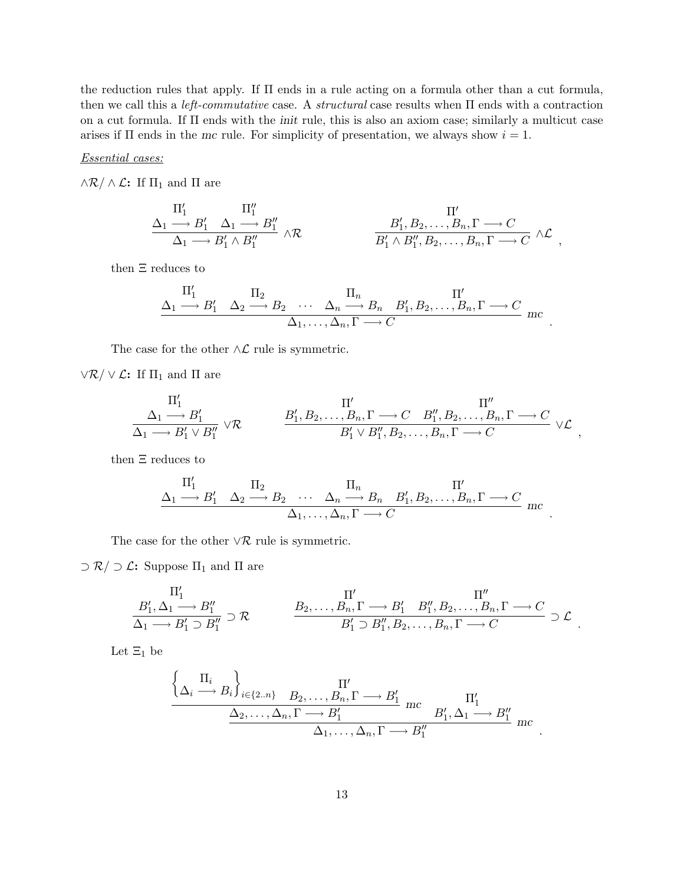the reduction rules that apply. If Π ends in a rule acting on a formula other than a cut formula, then we call this a *left-commutative* case. A *structural* case results when  $\Pi$  ends with a contraction on a cut formula. If Π ends with the init rule, this is also an axiom case; similarly a multicut case arises if  $\Pi$  ends in the mc rule. For simplicity of presentation, we always show  $i = 1$ .

#### Essential cases:

 $\wedge \mathcal{R} / \wedge \mathcal{L}$ : If  $\Pi_1$  and  $\Pi$  are

$$
\frac{\Pi'_1}{\Delta_1 \longrightarrow B'_1} \frac{\Pi''_1}{\Delta_1 \longrightarrow B'_1 \land B''_1} \land \mathcal{R}
$$
\n
$$
\frac{B'_1, B_2, \dots, B_n, \Gamma \longrightarrow C}{B'_1 \land B''_1, B_2, \dots, B_n, \Gamma \longrightarrow C} \land \mathcal{L},
$$

then Ξ reduces to

$$
\frac{\Pi'_1}{\Delta_1 \longrightarrow B'_1} \quad \frac{\Pi_2}{\Delta_2 \longrightarrow B_2} \quad \cdots \quad \frac{\Pi_n}{\Delta_n \longrightarrow B_n} \quad B'_1, B_2, \ldots, B_n, \Gamma \longrightarrow C
$$
\n
$$
\frac{\Pi'_1}{\Delta_1, \ldots, \Delta_n, \Gamma \longrightarrow C} \quad \text{inc}
$$

.

.

.

The case for the other  $\wedge\mathcal{L}$  rule is symmetric.

 $\vee \mathcal{R} / \vee \mathcal{L}$ : If  $\Pi_1$  and  $\Pi$  are

$$
\frac{\Pi'_1}{\Delta_1 \longrightarrow B'_1 \vee B''_1} \vee \mathcal{R}
$$
\n
$$
\frac{B'_1, B_2, \dots, B_n, \Gamma \longrightarrow C \quad B''_1, B_2, \dots, B_n, \Gamma \longrightarrow C \atop B'_1 \vee B''_1, B_2, \dots, B_n, \Gamma \longrightarrow C} \vee \mathcal{L},
$$

then Ξ reduces to

 $\overline{\phantom{a}}$ 

$$
\frac{\Pi'_1}{\Delta_1 \longrightarrow B'_1} \quad \frac{\Pi_2}{\Delta_2 \longrightarrow B_2} \quad \cdots \quad \frac{\Pi_n}{\Delta_n \longrightarrow B_n} \quad B'_1, B_2, \ldots, B_n, \Gamma \longrightarrow C
$$
  

$$
\frac{\Pi'_1}{\Delta_1, \ldots, \Delta_n, \Gamma \longrightarrow C} \quad \text{mc}
$$

The case for the other  $\forall \mathcal{R}$  rule is symmetric.

 $\supset \mathcal{R}/\supset \mathcal{L}$ : Suppose  $\Pi_1$  and  $\Pi$  are

$$
\frac{\Pi_1'}{\Delta_1 \longrightarrow B_1'' \supset R_1''} \supset \mathcal{R}
$$
\n
$$
\frac{B_2, \dots, B_n, \Gamma \longrightarrow B_1' \quad B_1'', B_2, \dots, B_n, \Gamma \longrightarrow C}{B_1' \supset B_1'', B_2, \dots, B_n, \Gamma \longrightarrow C} \supset \mathcal{L}
$$

Let  $\Xi_1$  be

$$
\frac{\left\{\Delta_i \stackrel{\prod_i}{\longrightarrow} B_i\right\}_{i \in \{2..n\}} \quad B_2, \dots, B_n, \Gamma \longrightarrow B'_1 \quad mc \quad B'_1, \Delta_1 \longrightarrow B''_1}{\Delta_2, \dots, \Delta_n, \Gamma \longrightarrow B'_1 \quad mc \quad B'_1, \Delta_1 \longrightarrow B''_1 \quad mc \quad \Delta_1, \dots, \Delta_n, \Gamma \longrightarrow B''_1} \quad mc \quad .
$$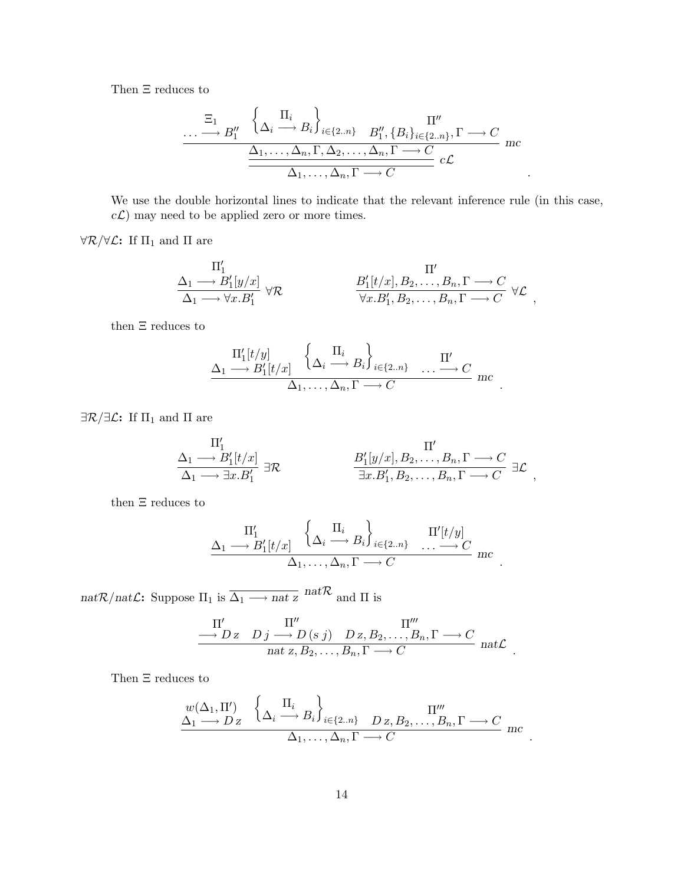Then Ξ reduces to

$$
\cdots \longrightarrow B''_1 \quad \left\{ \Delta_i \stackrel{\Pi_i}{\longrightarrow} B_i \right\}_{i \in \{2..n\}} \quad B''_1, \{B_i\}_{i \in \{2..n\}}, \Gamma \longrightarrow C
$$
\n
$$
\frac{\Delta_1, \dots, \Delta_n, \Gamma, \Delta_2, \dots, \Delta_n, \Gamma \longrightarrow C}{\Delta_1, \dots, \Delta_n, \Gamma \longrightarrow C} c\mathcal{L}
$$

We use the double horizontal lines to indicate that the relevant inference rule (in this case,  $c\mathcal{L}$ ) may need to be applied zero or more times.

 $\forall \mathcal{R}/\forall \mathcal{L}:$  If  $\Pi_1$  and  $\Pi$  are

$$
\frac{\Pi'_1}{\Delta_1 \longrightarrow B'_1[y/x]} \frac{\Pi'}{\forall \mathcal{R}} \qquad \qquad \frac{B'_1[t/x], B_2, \dots, B_n, \Gamma \longrightarrow C}{\forall x . B'_1, B_2, \dots, B_n, \Gamma \longrightarrow C} \ \forall \mathcal{L},
$$

then Ξ reduces to

$$
\frac{\Pi'_1[t/y]}{\Delta_1 \longrightarrow B'_1[t/x]} \left\{ \Delta_i \stackrel{\Pi_i}{\longrightarrow} B_i \right\}_{i \in \{2..n\}} \dots \stackrel{\Pi'}{\longrightarrow} C \n\frac{}{\Delta_1 \longrightarrow C} mc
$$

.

.

 $\exists \mathcal{R}/\exists \mathcal{L}:$  If  $\Pi_1$  and  $\Pi$  are

$$
\frac{\Pi'_1}{\Delta_1 \longrightarrow B'_1[t/x]} \nexists \mathcal{R}
$$
\n
$$
\frac{B'_1[y/x], B_2, \dots, B_n, \Gamma \longrightarrow C}{\exists x. B'_1, B_2, \dots, B_n, \Gamma \longrightarrow C} \nexists \mathcal{L},
$$

then Ξ reduces to

$$
\Delta_1 \longrightarrow \frac{\Pi'_1}{B'_1[t/x]} \left\{ \Delta_i \longrightarrow B_i \right\}_{i \in \{2..n\}} \quad \frac{\Pi'[t/y]}{\dots \longrightarrow C} mc
$$
  

$$
\Delta_1, \dots, \Delta_n, \Gamma \longrightarrow C \quad mc
$$

 $\text{nat}\mathcal{R}/\text{nat}\mathcal{L}$  : Suppose  $\Pi_1$  is  $\overline{\Delta_1 \longrightarrow \text{nat}\, z}$   $\text{nat}\mathcal{R}$  and  $\Pi$  is

$$
\frac{\Pi'}{\longrightarrow D z} \xrightarrow{D j} \frac{\Pi''}{\longrightarrow D (s j)} \xrightarrow{D z, B_2, \dots, B_n, \Gamma \longrightarrow C} \text{nat } z, B_2, \dots, B_n, \Gamma \longrightarrow C \text{nat } \mathcal{L}
$$

Then Ξ reduces to

$$
\frac{w(\Delta_1, \Pi')}{\Delta_1 \longrightarrow D \, z} \quad \left\{ \Delta_i \stackrel{\Pi_i}{\longrightarrow} B_i \right\}_{i \in \{2..n\}} \quad D \, z, B_2, \dots, B_n, \Gamma \longrightarrow C
$$
\n
$$
\Delta_1, \dots, \Delta_n, \Gamma \longrightarrow C \quad \text{inc} \quad .
$$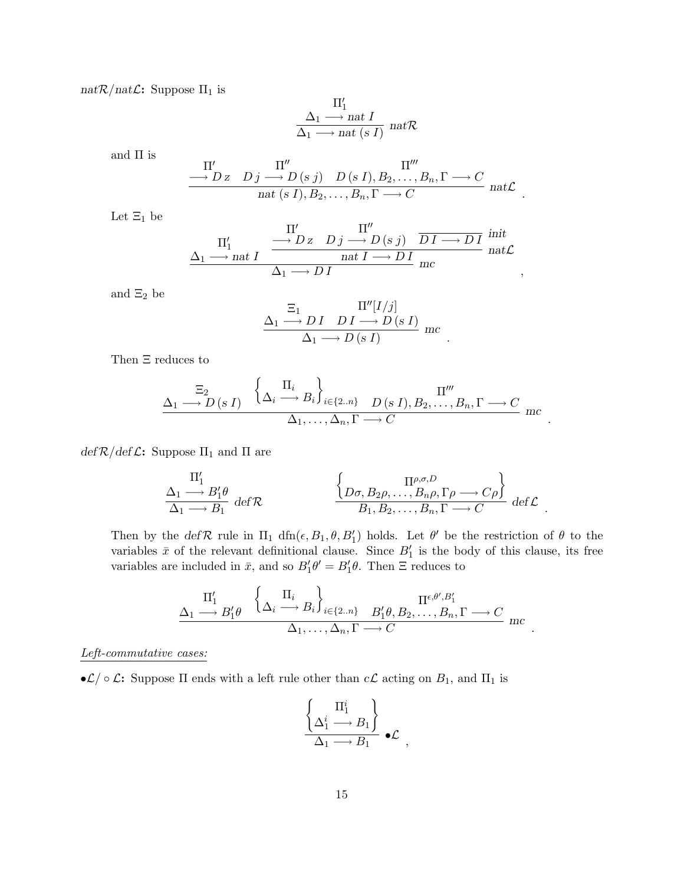$nat\mathcal{R}/nat\mathcal{L}$ : Suppose  $\Pi_1$  is

$$
\frac{\Pi'_1}{\Delta_1 \longrightarrow nat \ I} \cdot \text{nat } \mathcal{R}
$$
  

$$
\Delta_1 \longrightarrow nat \ (s \ I)
$$
nat  $\mathcal{R}$ 

and  $\Pi$  is

$$
\frac{\Pi'}{\longrightarrow D z} \quad D j \longrightarrow D (s j) \quad D (s I), B_2, \dots, B_n, \Gamma \longrightarrow C
$$
  

$$
\frac{\Pi''}{\text{nat} (s I), B_2, \dots, B_n, \Gamma \longrightarrow C} \quad \text{nat } \mathcal{L}
$$

.

,

.

.

.

Let  $\Xi_1$  be

$$
\underbrace{\Pi_1'}_{\Delta_1 \longrightarrow \text{nat } I} \xrightarrow{\Pi'} \underbrace{\Pi''}_{\Delta_1 \longrightarrow D Z} \underbrace{D j \longrightarrow D}_{\text{nat } I \longrightarrow D I} \underbrace{\text{init}}_{\text{mat } L}
$$

and  $\Xi_2$  be

$$
\frac{\Sigma_1}{\Delta_1 \longrightarrow DI \quad DI \longrightarrow D(sI)} \text{mc}
$$
  

$$
\Delta_1 \longrightarrow D(sI) \quad \text{mc}
$$

Then Ξ reduces to

$$
\underline{\Delta_1 \longrightarrow D \,(s\,I)} \quad \left\{ \underline{\Delta_i \longrightarrow B_i} \right\}_{i \in \{2..n\}} \quad \underline{D \,(s\,I), B_2, \dots, B_n, \Gamma \longrightarrow C} \quad \text{and} \quad \underline{\Delta_1, \dots, \Delta_n, \Gamma \longrightarrow C} \quad \text{and} \quad \underline{\Delta_2, \dots, \Delta_n, \Gamma \longrightarrow C} \quad \text{and} \quad \underline{\Delta_3, \dots, \Delta_n, \Gamma \longrightarrow C} \quad \text{and} \quad \underline{\Delta_4, \dots, \Delta_n, \Gamma \longrightarrow C} \quad \text{and} \quad \underline{\Delta_5, \dots, \Delta_n, \Gamma \longrightarrow C} \quad \text{and} \quad \underline{\Delta_6, \dots, \Delta_n, \Gamma \longrightarrow C} \quad \text{and} \quad \underline{\Delta_7, \dots, \Delta_n, \Gamma \longrightarrow C} \quad \text{and} \quad \underline{\Delta_8, \dots, \Delta_n, \Gamma \longrightarrow C} \quad \text{and} \quad \underline{\Delta_9, \dots, \Delta_n, \Gamma \longrightarrow C} \quad \text{and} \quad \underline{\Delta_8, \dots, \Delta_n, \Gamma \longrightarrow C} \quad \text{and} \quad \underline{\Delta_9, \dots, \Delta_n, \Gamma \longrightarrow C} \quad \text{and} \quad \underline{\Delta_1, \dots, \Delta_n, \Gamma \longrightarrow C} \quad \text{and} \quad \underline{\Delta_1, \dots, \Delta_n, \Gamma \longrightarrow C} \quad \text{and} \quad \underline{\Delta_1, \dots, \Delta_n, \Gamma \longrightarrow C} \quad \text{and} \quad \underline{\Delta_1, \dots, \Delta_n, \Gamma \longrightarrow C} \quad \text{and} \quad \underline{\Delta_6, \dots, \Delta_n, \Gamma \longrightarrow C} \quad \text{and} \quad \underline{\Delta_7, \dots, \Delta_n, \Gamma \longrightarrow C} \quad \text{and} \quad \underline{\Delta_8, \dots, \Delta_n, \Gamma \longrightarrow C} \quad \text{and} \quad \underline{\Delta_7, \dots, \Delta_n, \Gamma \longrightarrow C} \quad \text{and} \quad \underline{\Delta_8, \dots, \Delta_n, \Gamma \longrightarrow C} \quad \text{and} \quad \underline{\Delta_8, \dots, \Delta_n, \Gamma \longrightarrow C} \quad \text{and} \quad \underline{\Delta_9, \dots, \Delta_n, \Gamma \longrightarrow C} \quad \text{and} \quad \underline{\Delta_9, \dots, \Delta_n, \Gamma \longrightarrow C} \quad \text{and} \quad \underline{\Delta_9, \dots
$$

 $def \mathcal{R}/def \mathcal{L}:$  Suppose  $\Pi_1$  and  $\Pi$  are

$$
\frac{\Pi'_1}{\Delta_1 \longrightarrow B'_1 \theta} \det \mathcal{R} \qquad \qquad \left\{ \begin{matrix} \Pi^{\rho, \sigma, D} \\ D\sigma, B_2\rho, \dots, B_n\rho, \Gamma\rho \longrightarrow C\rho \end{matrix} \right\} \det \mathcal{L}.
$$

Then by the def $\mathcal R$  rule in  $\Pi_1$  dfn $(\epsilon, B_1, \theta, B'_1)$  holds. Let  $\theta'$  be the restriction of  $\theta$  to the variables  $\bar{x}$  of the relevant definitional clause. Since  $B'_1$  is the body of this clause, its free variables are included in  $\bar{x}$ , and so  $B'_1\theta' = B'_1\theta$ . Then  $\Xi$  reduces to

$$
\frac{\Pi'_1}{\Delta_1 \longrightarrow B'_1 \theta} \quad \left\{ \Delta_i \stackrel{\Pi_i}{\longrightarrow} B_i \right\}_{i \in \{2..n\}} \quad B'_1 \theta, B_2, \dots, B_n, \Gamma \longrightarrow C
$$
\n
$$
\Delta_1, \dots, \Delta_n, \Gamma \longrightarrow C \quad \text{inc}
$$

Left-commutative cases:

• $\mathcal{L}/\circ\mathcal{L}$ : Suppose  $\Pi$  ends with a left rule other than  $c\mathcal{L}$  acting on  $B_1$ , and  $\Pi_1$  is

$$
\frac{\left\{\Delta_1^i \longrightarrow B_1\right\}}{\Delta_1 \longrightarrow B_1} \bullet \mathcal{L} ,
$$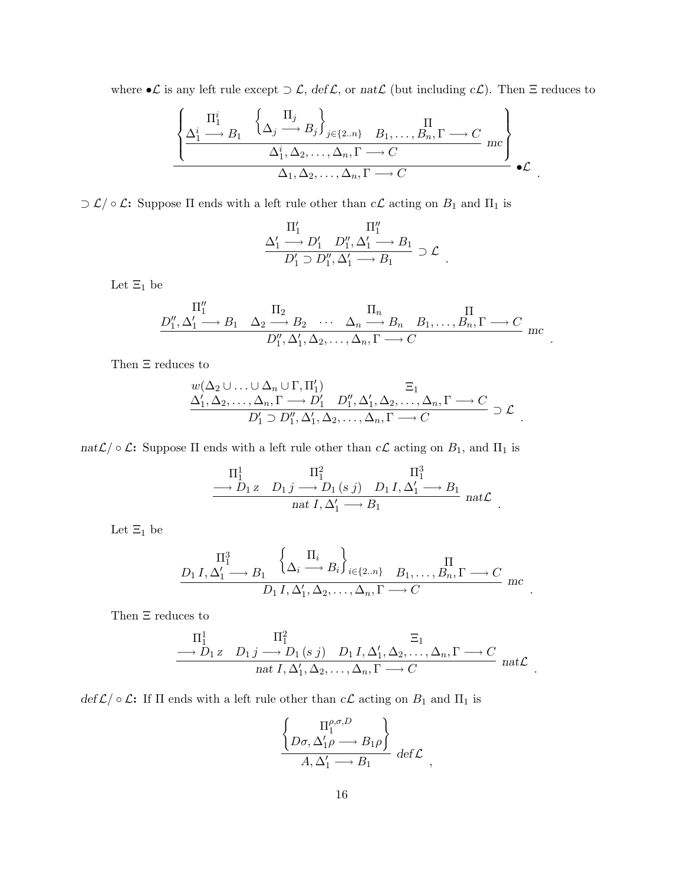where • $\mathcal L$  is any left rule except  $\supset \mathcal L$ , def $\mathcal L$ , or nat $\mathcal L$  (but including  $c\mathcal L$ ). Then  $\Xi$  reduces to

$$
\frac{\left\{\Delta_1^i \longrightarrow B_1 \quad \left\{\Delta_j \longrightarrow B_j\right\}_{j \in \{2..n\}} \quad B_1, \dots, B_n, \Gamma \longrightarrow C \right\}}{\Delta_1^i, \Delta_2, \dots, \Delta_n, \Gamma \longrightarrow C} mc
$$
\n
$$
\Delta_1, \Delta_2, \dots, \Delta_n, \Gamma \longrightarrow C
$$
\n
$$
\mathcal{L}.
$$

 $\supset \mathcal{L}/\circ \mathcal{L}$ : Suppose  $\Pi$  ends with a left rule other than  $c\mathcal{L}$  acting on  $B_1$  and  $\Pi_1$  is

$$
\dfrac{\Pi_1'}{\Delta_1'\longrightarrow D_1',\ D_1'',\Delta_1'\longrightarrow B_1\atop D_1'\supset D_1'',\Delta_1'\longrightarrow B_1}\supset \mathcal{L}
$$

.

.

.

.

.

.

Let  $\Xi_1$  be

$$
\frac{\Pi''_1}{D''_1, \Delta'_1 \longrightarrow B_1 \quad \Delta_2 \longrightarrow B_2 \quad \cdots \quad \Delta_n \longrightarrow B_n \quad B_1, \ldots, B_n, \Gamma \longrightarrow C
$$
  

$$
D''_1, \Delta'_1, \Delta_2, \ldots, \Delta_n, \Gamma \longrightarrow C
$$
mc

Then Ξ reduces to

$$
\frac{w(\Delta_2 \cup \ldots \cup \Delta_n \cup \Gamma, \Pi'_1)}{\Delta'_1, \Delta_2, \ldots, \Delta_n, \Gamma \longrightarrow D'_1 \quad D''_1, \Delta'_1, \Delta_2, \ldots, \Delta_n, \Gamma \longrightarrow C} \supset \mathcal{L}
$$
  

$$
D'_1 \supset D''_1, \Delta'_1, \Delta_2, \ldots, \Delta_n, \Gamma \longrightarrow C
$$

nat $\mathcal{L}/\circ \mathcal{L}$ : Suppose  $\Pi$  ends with a left rule other than  $c\mathcal{L}$  acting on  $B_1$ , and  $\Pi_1$  is

$$
\frac{\Pi_1^1 \qquad \Pi_1^2}{\longrightarrow D_1 z \qquad D_1 j \longrightarrow D_1 (s j) \qquad D_1 I, \Delta'_1 \longrightarrow B_1}_{nat \, I, \, \Delta'_1 \longrightarrow B_1} \quad nat \mathcal{L}
$$

Let  $\Xi_1$  be

$$
\frac{\Pi_1^3}{D_1 I, \Delta_1' \longrightarrow B_1} \left\{ \Delta_i \xrightarrow{H_i} B_i \right\}_{i \in \{2..n\}} \xrightarrow{B_1, \dots, B_n, \Gamma \longrightarrow C} mc
$$
  

$$
D_1 I, \Delta_1', \Delta_2, \dots, \Delta_n, \Gamma \longrightarrow C
$$

Then Ξ reduces to

$$
\frac{\Pi_1^1 \qquad \Pi_1^2}{\longrightarrow D_1 z \qquad D_1 j \longrightarrow D_1 (s j) \qquad D_1 I, \Delta'_1, \Delta_2, \dots, \Delta_n, \Gamma \longrightarrow C \qquad \text{nat } L, \Delta'_1, \Delta_2, \dots, \Delta_n, \Gamma \longrightarrow C \qquad \text{nat } \mathcal{L}
$$

 $def \mathcal{L}/\circ \mathcal{L}$ : If  $\Pi$  ends with a left rule other than  $c\mathcal{L}$  acting on  $B_1$  and  $\Pi_1$  is

$$
\frac{\left\{\n\begin{array}{c}\n\Pi_1^{\rho,\sigma,D} \\
D\sigma,\Delta_1'\rho\longrightarrow B_1\rho\n\end{array}\n\right\}}{A,\Delta_1'\longrightarrow B_1} \text{ def }\mathcal{L}\right\},\
$$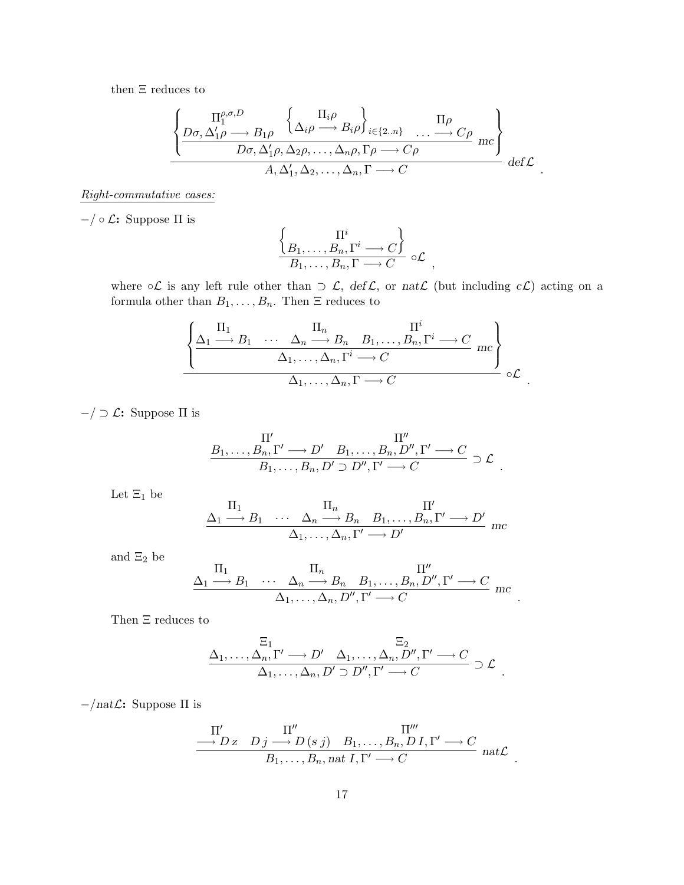then  $\Xi$  reduces to

$$
\frac{\left\{\frac{\Pi_1^{\rho,\sigma,D}}{D\sigma,\Delta_1'\rho\longrightarrow B_1\rho}\frac{\left\{\Delta_i\rho\longrightarrow B_i\rho\right\}_{i\in\{2..n\}}\dots\longrightarrow C\rho}{D\sigma,\Delta_1'\rho,\Delta_2\rho,\dots,\Delta_n\rho,\Gamma\rho\longrightarrow C\rho}\mc\right\}}{A,\Delta_1',\Delta_2,\dots,\Delta_n,\Gamma\longrightarrow C}\ \text{def}\ \mathcal{L}
$$

.

.

.

#### Right-commutative cases:

 $−/ ∘ \mathcal{L}:$  Suppose  $\Pi$  is

$$
\frac{\left\{ \underset{B_1, \ldots, B_n, \Gamma}{\Pi^i} \longrightarrow C \right\}}{B_1, \ldots, B_n, \Gamma \longrightarrow C} \circ \mathcal{L},
$$

where  $\circ\mathcal{L}$  is any left rule other than  $\supset \mathcal{L}$ ,  $\det \mathcal{L}$ , or  $nat\mathcal{L}$  (but including  $c\mathcal{L}$ ) acting on a formula other than  $B_1, \ldots, B_n$ . Then  $\Xi$  reduces to

$$
\frac{\left\{\Delta_1 \xrightarrow{\Pi_1} B_1 \cdots \Delta_n \xrightarrow{\Pi_n} B_n B_1, \dots, B_n, \Gamma^i \longrightarrow C \atop \Delta_1, \dots, \Delta_n, \Gamma^i \longrightarrow C \right\}}{\Delta_1, \dots, \Delta_n, \Gamma \longrightarrow C} mc \right\} \circ \mathcal{L}
$$

 $-$ / ⊃  $\mathcal{L}$ : Suppose Π is

$$
\frac{\Pi'}{B_1,\ldots,B_n,\Gamma'} \longrightarrow D' \quad B_1,\ldots,B_n,D'',\Gamma' \longrightarrow C
$$
  

$$
B_1,\ldots,B_n,D' \supset D'',\Gamma' \longrightarrow C \quad \supset \mathcal{L}
$$

Let  $\Xi_1$  be

$$
\frac{\Pi_1}{\Delta_1 \longrightarrow B_1 \cdots \Delta_n \longrightarrow B_n B_1, \ldots, B_n, \Gamma' \longrightarrow D'}_{\Delta_1, \ldots, \Delta_n, \Gamma' \longrightarrow D'} \text{mc}
$$

and  $\Xi_2$  be

$$
\frac{\Pi_1}{\Delta_1 \longrightarrow B_1 \quad \cdots \quad \Delta_n \longrightarrow B_n \quad B_1, \ldots, B_n, D'', \Gamma' \longrightarrow C \quad \ \Delta_1, \ldots, \Delta_n, D'', \Gamma' \longrightarrow C \quad \ mc
$$

Then Ξ reduces to

$$
\frac{\Xi_1}{\Delta_1,\ldots,\Delta_n,\Gamma'}\longrightarrow D'\quad \Delta_1,\ldots,\Delta_n,D'',\Gamma'\longrightarrow C\atop \Delta_1,\ldots,\Delta_n,D'\supset D'',\Gamma'\longrightarrow C\quad \triangleright \mathcal{L}\ .
$$

 $−/natL$ : Suppose Π is

$$
\frac{\Pi'}{\longrightarrow D z \quad D j \longrightarrow D (s j) \quad B_1, \dots, B_n, D I, \Gamma' \longrightarrow C} \n_{B_1, \dots, B_n, \text{nat } I, \Gamma' \longrightarrow C} \n_{\text{nat } L}.
$$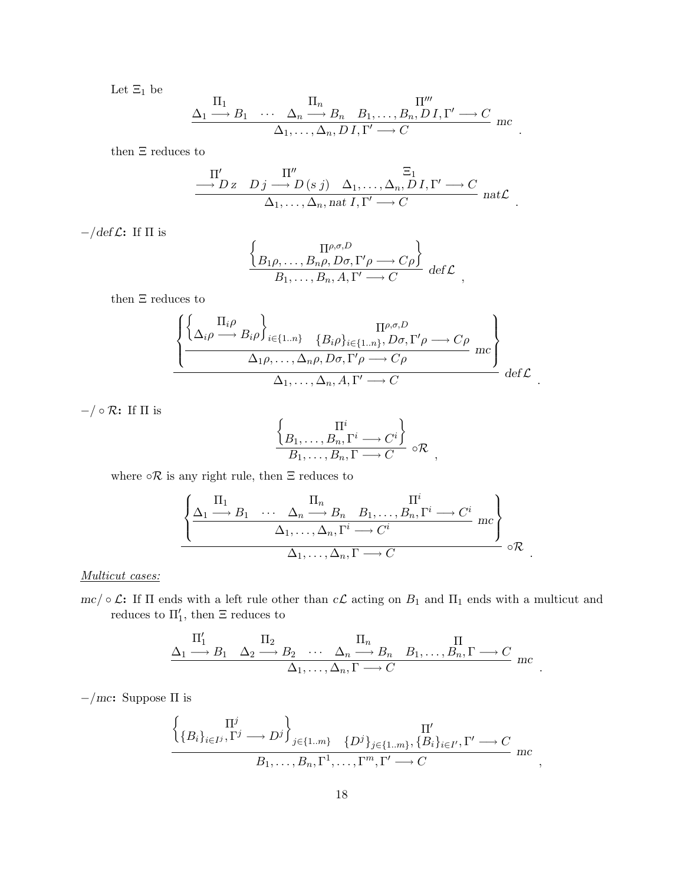Let  $\Xi_1$  be

$$
\frac{\Pi_1}{\Delta_1 \longrightarrow B_1 \cdots \Delta_n \longrightarrow B_n B_1, \ldots, B_n, D I, \Gamma' \longrightarrow C}
$$
  

$$
\Delta_1, \ldots, \Delta_n, D I, \Gamma' \longrightarrow C
$$
mc

.

.

.

.

then  $\Xi$  reduces to

$$
\frac{\Pi'}{\hskip-2.5cm \longrightarrow D z \quad D j \stackrel{\Pi''}{\longrightarrow} D (s j) \quad \Delta_1, \ldots, \Delta_n, D I, \Gamma' \longrightarrow C \atop \Delta_1, \ldots, \Delta_n, \text{nat } I, \Gamma' \longrightarrow C \quad \text{nat } \mathcal{L}
$$

 $-/\text{def } \mathcal{L}$ : If  $\Pi$  is

$$
\frac{\left\{B_{1}\rho, \ldots, B_{n}\rho, D\sigma, \Gamma'\rho \longrightarrow C\rho\right\}}{B_{1}, \ldots, B_{n}, A, \Gamma' \longrightarrow C} \text{ def } \mathcal{L},
$$

then  $\Xi$  reduces to

$$
\frac{\left\{ \left\{ \Delta_i \rho \longrightarrow B_i \rho \right\}_{i \in \{1..n\}} \quad \{B_i \rho\}_{i \in \{1..n\}}, D\sigma, \Gamma' \rho \longrightarrow C\rho \atop \Delta_1 \rho, \dots, \Delta_n \rho, D\sigma, \Gamma' \rho \longrightarrow C\rho \right\}}{\Delta_1 \rho, \dots, \Delta_n \rho, D\sigma, \Gamma' \rho \longrightarrow C\rho} mc \right\} \det \mathcal{L}
$$

−/ ◦ R: If Π is

$$
\frac{\left\{ \underset{B_1, \ldots, B_n, \Gamma^i \longrightarrow C^i}{\Pi^i} \right\}}{B_1, \ldots, B_n, \Gamma \longrightarrow C} \circ \mathcal{R},
$$

where  $\circ \mathcal{R}$  is any right rule, then  $\Xi$  reduces to

$$
\frac{\left\{\frac{\Pi_1}{\Delta_1 \longrightarrow B_1 \quad \cdots \quad \Delta_n \longrightarrow B_n \quad B_1, \ldots, B_n, \Gamma^i \longrightarrow C^i \quad mc\right\}}{\Delta_1, \ldots, \Delta_n, \Gamma^i \longrightarrow C^i} \ \mathrm{mc} \right\}}{\Delta_1, \ldots, \Delta_n, \Gamma \longrightarrow C} \ \mathrm{or} \ .
$$

Multicut cases:

mc/  $\circ \mathcal{L}$ : If  $\Pi$  ends with a left rule other than  $c\mathcal{L}$  acting on  $B_1$  and  $\Pi_1$  ends with a multicut and reduces to  $\Pi_1'$ , then  $\Xi$  reduces to

$$
\frac{\Pi'_1}{\Delta_1 \longrightarrow B_1} \quad \frac{\Pi_2}{\Delta_2 \longrightarrow B_2} \quad \cdots \quad \frac{\Pi_n}{\Delta_n \longrightarrow B_n} \quad B_1, \ldots, B_n, \Gamma \longrightarrow C
$$
\n
$$
\frac{\Pi'_1}{\Delta_1, \ldots, \Delta_n, \Gamma \longrightarrow C} \text{mc}
$$

−/mc: Suppose Π is

$$
\begin{aligned}\n\left\{\n\begin{array}{c}\n\Pi^j \\
\{B_i\}_{i\in I^j}, \Gamma^j \longrightarrow D^j\n\end{array}\n\right\}_{j\in\{1..m\}}\n\left\{\nD^j\right\}_{j\in\{1..m\}}, \n\left\{\nB_i\}_{i\in I^{\prime}}, \Gamma^{\prime} \longrightarrow C\n\end{array}\n\right. \\
B_1, \ldots, B_n, \Gamma^1, \ldots, \Gamma^m, \Gamma^{\prime} \longrightarrow C\n\end{aligned}
$$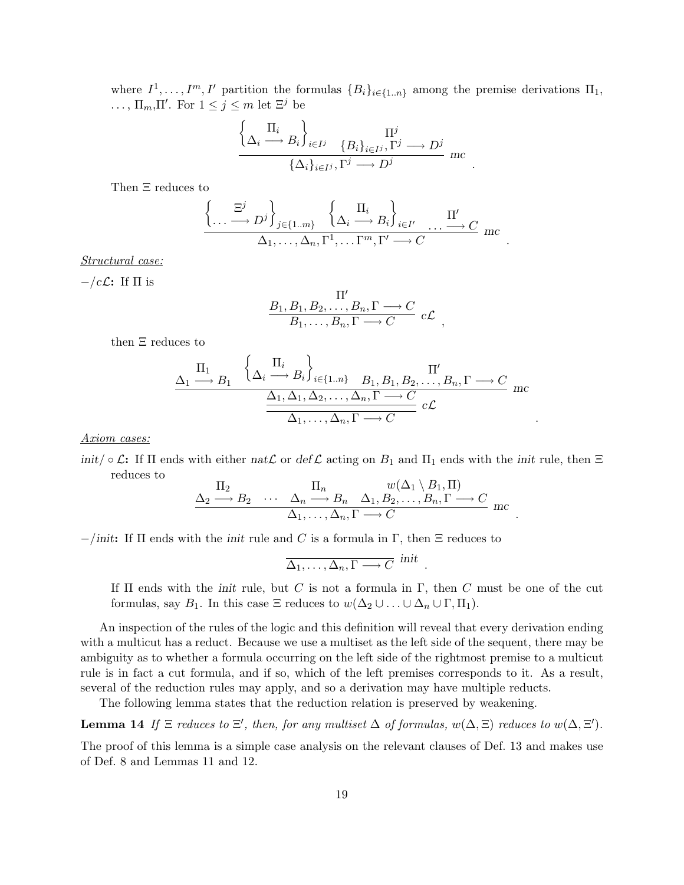where  $I^1, \ldots, I^m, I'$  partition the formulas  $\{B_i\}_{i\in\{1..n\}}$  among the premise derivations  $\Pi_1$ , ...,  $\Pi_m$ ,  $\Pi'$ . For  $1 \leq j \leq m$  let  $\Xi^j$  be ½  $\ddot{\phantom{0}}$ 

$$
\frac{\left\{\Delta_i \stackrel{\prod_i}{\longrightarrow} B_i\right\}_{i \in I^j} \quad \{B_i\}_{i \in I^j}, \Gamma^j \longrightarrow D^j}{\left\{\Delta_i\}_{i \in I^j}, \Gamma^j \longrightarrow D^j} \ \ \text{mc}
$$

.

,

.

.

.

Then Ξ reduces to

$$
\left\{\dots \xrightarrow{\Xi^j} D^j\right\}_{j\in\{1..m\}} \left\{\Delta_i \xrightarrow{\Pi_i} B_i\right\}_{i\in I'} \dots \xrightarrow{\Pi'} C \text{ mc}
$$
  

$$
\Delta_1, \dots, \Delta_n, \Gamma^1, \dots \Gamma^m, \Gamma' \longrightarrow C
$$

Structural case:

 $-$ /c $\mathcal{L}$ : If  $\Pi$  is

$$
\frac{\Pi'}{B_1, B_1, B_2, \dots, B_n, \Gamma \longrightarrow C} B_1, \dots, B_n, \Gamma \longrightarrow C
$$
  $c\mathcal{L}$ 

then Ξ reduces to

$$
\frac{\Delta_1 \xrightarrow{\Pi_1} B_1 \left\{ \Delta_i \xrightarrow{\Pi_i} B_i \right\}_{i \in \{1..n\}} B_1, B_1, B_2, \dots, B_n, \Gamma \longrightarrow C \atop \frac{\Delta_1, \Delta_1, \Delta_2, \dots, \Delta_n, \Gamma \longrightarrow C}{\Delta_1, \dots, \Delta_n, \Gamma \longrightarrow C} c\mathcal{L}
$$
mc

Axiom cases:

init/  $\circ \mathcal{L}$ : If  $\Pi$  ends with either nat $\mathcal{L}$  or def  $\mathcal{L}$  acting on  $B_1$  and  $\Pi_1$  ends with the init rule, then  $\Xi$ reduces to  $($  $\Lambda$ <sup>1</sup>  $\bar{D}$ ,  $\bar{H}$ 

$$
\frac{\Delta_2 \stackrel{\prod_2}{\longrightarrow} B_2 \quad \cdots \quad \Delta_n \stackrel{\prod_n}{\longrightarrow} B_n \quad \Delta_1, B_2, \ldots, B_n, \Gamma \longrightarrow C}{\Delta_1, \ldots, \Delta_n, \Gamma \longrightarrow C} mc
$$

 $-$ /init: If  $\Pi$  ends with the *init* rule and C is a formula in  $\Gamma$ , then  $\Xi$  reduces to

$$
\overline{\Delta_1,\ldots,\Delta_n,\Gamma\longrightarrow C} \; \; \textrm{init}
$$

If  $\Pi$  ends with the *init* rule, but C is not a formula in  $\Gamma$ , then C must be one of the cut formulas, say  $B_1$ . In this case  $\Xi$  reduces to  $w(\Delta_2 \cup ... \cup \Delta_n \cup \Gamma, \Pi_1)$ .

An inspection of the rules of the logic and this definition will reveal that every derivation ending with a multicut has a reduct. Because we use a multiset as the left side of the sequent, there may be ambiguity as to whether a formula occurring on the left side of the rightmost premise to a multicut rule is in fact a cut formula, and if so, which of the left premises corresponds to it. As a result, several of the reduction rules may apply, and so a derivation may have multiple reducts.

The following lemma states that the reduction relation is preserved by weakening.

**Lemma 14** If  $\Xi$  reduces to  $\Xi'$ , then, for any multiset  $\Delta$  of formulas,  $w(\Delta, \Xi)$  reduces to  $w(\Delta, \Xi')$ .

The proof of this lemma is a simple case analysis on the relevant clauses of Def. 13 and makes use of Def. 8 and Lemmas 11 and 12.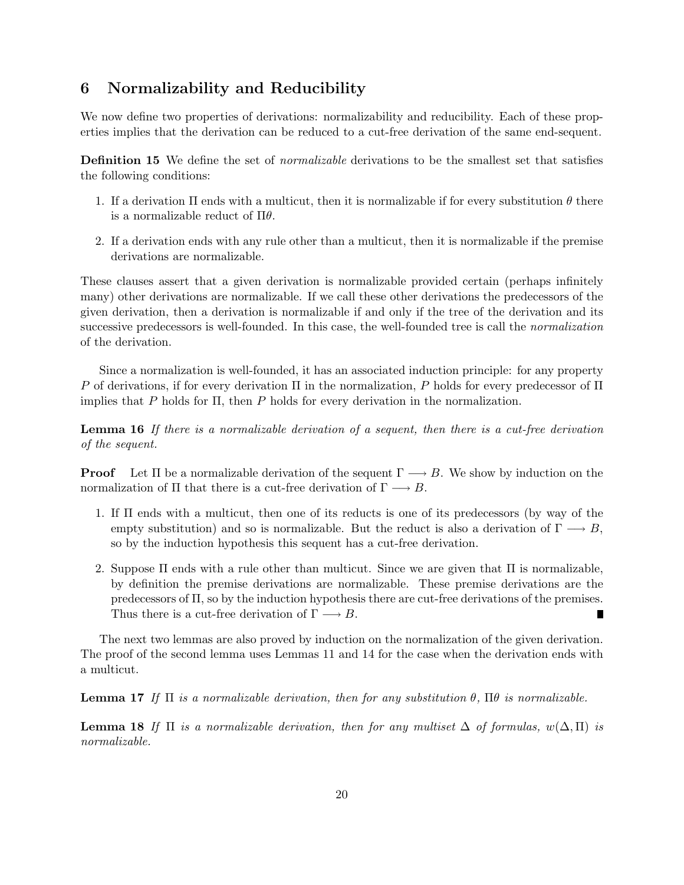## 6 Normalizability and Reducibility

We now define two properties of derivations: normalizability and reducibility. Each of these properties implies that the derivation can be reduced to a cut-free derivation of the same end-sequent.

Definition 15 We define the set of *normalizable* derivations to be the smallest set that satisfies the following conditions:

- 1. If a derivation  $\Pi$  ends with a multicut, then it is normalizable if for every substitution  $\theta$  there is a normalizable reduct of  $\Pi\theta$ .
- 2. If a derivation ends with any rule other than a multicut, then it is normalizable if the premise derivations are normalizable.

These clauses assert that a given derivation is normalizable provided certain (perhaps infinitely many) other derivations are normalizable. If we call these other derivations the predecessors of the given derivation, then a derivation is normalizable if and only if the tree of the derivation and its successive predecessors is well-founded. In this case, the well-founded tree is call the normalization of the derivation.

Since a normalization is well-founded, it has an associated induction principle: for any property P of derivations, if for every derivation  $\Pi$  in the normalization, P holds for every predecessor of  $\Pi$ implies that P holds for  $\Pi$ , then P holds for every derivation in the normalization.

Lemma 16 If there is a normalizable derivation of a sequent, then there is a cut-free derivation of the sequent.

**Proof** Let  $\Pi$  be a normalizable derivation of the sequent  $\Gamma \longrightarrow B$ . We show by induction on the normalization of Π that there is a cut-free derivation of  $\Gamma \longrightarrow B$ .

- 1. If Π ends with a multicut, then one of its reducts is one of its predecessors (by way of the empty substitution) and so is normalizable. But the reduct is also a derivation of  $\Gamma \longrightarrow B$ , so by the induction hypothesis this sequent has a cut-free derivation.
- 2. Suppose  $\Pi$  ends with a rule other than multicut. Since we are given that  $\Pi$  is normalizable, by definition the premise derivations are normalizable. These premise derivations are the predecessors of  $\Pi$ , so by the induction hypothesis there are cut-free derivations of the premises. Thus there is a cut-free derivation of  $\Gamma \longrightarrow B$ . п

The next two lemmas are also proved by induction on the normalization of the given derivation. The proof of the second lemma uses Lemmas 11 and 14 for the case when the derivation ends with a multicut.

**Lemma 17** If  $\Pi$  is a normalizable derivation, then for any substitution  $\theta$ ,  $\Pi\theta$  is normalizable.

**Lemma 18** If  $\Pi$  is a normalizable derivation, then for any multiset  $\Delta$  of formulas,  $w(\Delta,\Pi)$  is normalizable.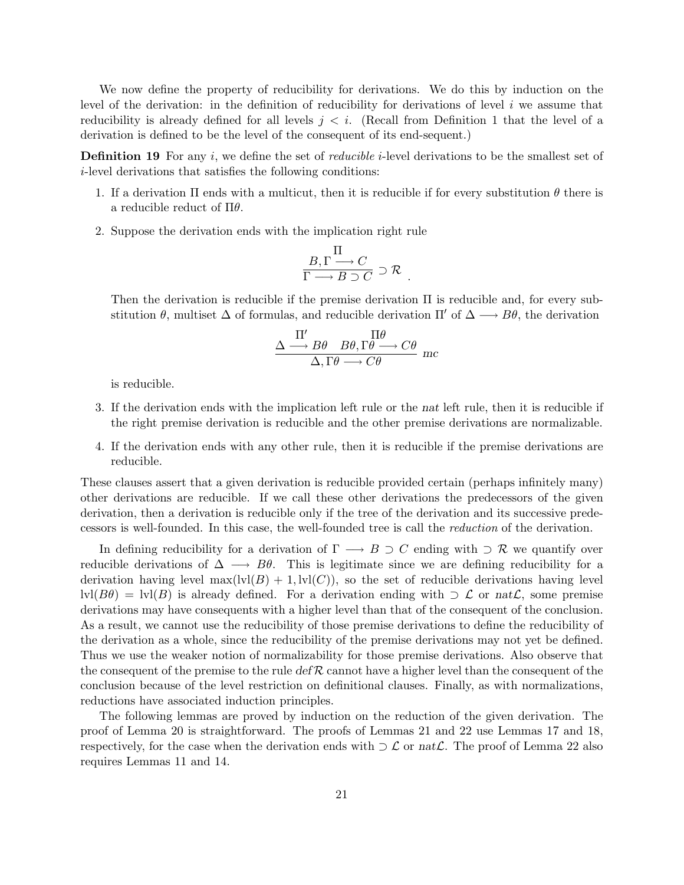We now define the property of reducibility for derivations. We do this by induction on the level of the derivation: in the definition of reducibility for derivations of level  $i$  we assume that reducibility is already defined for all levels  $j < i$ . (Recall from Definition 1 that the level of a derivation is defined to be the level of the consequent of its end-sequent.)

**Definition 19** For any i, we define the set of *reducible i*-level derivations to be the smallest set of i-level derivations that satisfies the following conditions:

- 1. If a derivation  $\Pi$  ends with a multicut, then it is reducible if for every substitution  $\theta$  there is a reducible reduct of  $\Pi\theta$ .
- 2. Suppose the derivation ends with the implication right rule

$$
\frac{B,\Gamma \longrightarrow C}{\Gamma \longrightarrow B \supset C} \supset \mathcal{R} .
$$

Then the derivation is reducible if the premise derivation  $\Pi$  is reducible and, for every substitution  $\theta$ , multiset  $\Delta$  of formulas, and reducible derivation  $\Pi'$  of  $\Delta \longrightarrow B\theta$ , the derivation

$$
\frac{\Delta \xrightarrow{\Pi'} B\theta \quad B\theta, \Gamma\theta \longrightarrow C\theta}{\Delta, \Gamma\theta \longrightarrow C\theta} \ \ \text{mc}
$$

is reducible.

- 3. If the derivation ends with the implication left rule or the nat left rule, then it is reducible if the right premise derivation is reducible and the other premise derivations are normalizable.
- 4. If the derivation ends with any other rule, then it is reducible if the premise derivations are reducible.

These clauses assert that a given derivation is reducible provided certain (perhaps infinitely many) other derivations are reducible. If we call these other derivations the predecessors of the given derivation, then a derivation is reducible only if the tree of the derivation and its successive predecessors is well-founded. In this case, the well-founded tree is call the reduction of the derivation.

In defining reducibility for a derivation of  $\Gamma \longrightarrow B \supset C$  ending with  $\supset \mathcal{R}$  we quantify over reducible derivations of  $\Delta \longrightarrow B\theta$ . This is legitimate since we are defining reducibility for a derivation having level  $max(1v1(B) + 1, 1v1(C))$ , so the set of reducible derivations having level  $\text{lvl}(B\theta) = \text{lvl}(B)$  is already defined. For a derivation ending with  $\supset \mathcal{L}$  or nat $\mathcal{L}$ , some premise derivations may have consequents with a higher level than that of the consequent of the conclusion. As a result, we cannot use the reducibility of those premise derivations to define the reducibility of the derivation as a whole, since the reducibility of the premise derivations may not yet be defined. Thus we use the weaker notion of normalizability for those premise derivations. Also observe that the consequent of the premise to the rule  $\det R$  cannot have a higher level than the consequent of the conclusion because of the level restriction on definitional clauses. Finally, as with normalizations, reductions have associated induction principles.

The following lemmas are proved by induction on the reduction of the given derivation. The proof of Lemma 20 is straightforward. The proofs of Lemmas 21 and 22 use Lemmas 17 and 18, respectively, for the case when the derivation ends with  $\supset \mathcal{L}$  or  $nat\mathcal{L}$ . The proof of Lemma 22 also requires Lemmas 11 and 14.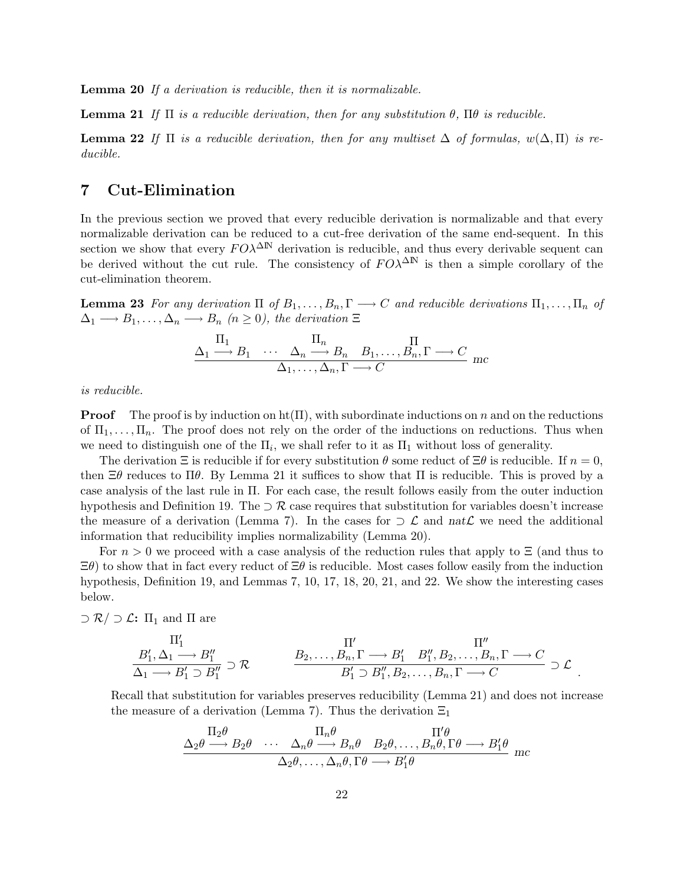Lemma 20 If a derivation is reducible, then it is normalizable.

**Lemma 21** If  $\Pi$  is a reducible derivation, then for any substitution  $\theta$ ,  $\Pi\theta$  is reducible.

**Lemma 22** If  $\Pi$  is a reducible derivation, then for any multiset  $\Delta$  of formulas,  $w(\Delta,\Pi)$  is reducible.

## 7 Cut-Elimination

In the previous section we proved that every reducible derivation is normalizable and that every normalizable derivation can be reduced to a cut-free derivation of the same end-sequent. In this section we show that every  $F O \lambda^{\Delta N}$  derivation is reducible, and thus every derivable sequent can be derived without the cut rule. The consistency of  $F O\lambda^{\Delta N}$  is then a simple corollary of the cut-elimination theorem.

**Lemma 23** For any derivation  $\Pi$  of  $B_1, \ldots, B_n, \Gamma \longrightarrow C$  and reducible derivations  $\Pi_1, \ldots, \Pi_n$  of  $\Delta_1 \longrightarrow B_1, \ldots, \Delta_n \longrightarrow B_n \ (n \geq 0)$ , the derivation  $\Xi$ 

$$
\frac{\Pi_1}{\Delta_1 \longrightarrow B_1 \cdots \Delta_n \longrightarrow B_n B_1, \ldots, B_n, \Gamma \longrightarrow C \atop \Delta_1, \ldots, \Delta_n, \Gamma \longrightarrow C \text{ mc}
$$

is reducible.

**Proof** The proof is by induction on  $ht(\Pi)$ , with subordinate inductions on n and on the reductions of  $\Pi_1, \ldots, \Pi_n$ . The proof does not rely on the order of the inductions on reductions. Thus when we need to distinguish one of the  $\Pi_i$ , we shall refer to it as  $\Pi_1$  without loss of generality.

The derivation  $\Xi$  is reducible if for every substitution  $\theta$  some reduct of  $\Xi\theta$  is reducible. If  $n = 0$ , then  $\Xi\theta$  reduces to  $\Pi\theta$ . By Lemma 21 it suffices to show that  $\Pi$  is reducible. This is proved by a case analysis of the last rule in Π. For each case, the result follows easily from the outer induction hypothesis and Definition 19. The  $\supset \mathcal{R}$  case requires that substitution for variables doesn't increase the measure of a derivation (Lemma 7). In the cases for  $\supset \mathcal{L}$  and nat $\mathcal{L}$  we need the additional information that reducibility implies normalizability (Lemma 20).

For  $n > 0$  we proceed with a case analysis of the reduction rules that apply to  $\Xi$  (and thus to  $\Xi\theta$ ) to show that in fact every reduct of  $\Xi\theta$  is reducible. Most cases follow easily from the induction hypothesis, Definition 19, and Lemmas 7, 10, 17, 18, 20, 21, and 22. We show the interesting cases below.

 $\supset \mathcal{R}/\supset \mathcal{L}$ :  $\Pi_1$  and  $\Pi$  are

$$
\frac{\Pi'_1}{\Delta_1 \longrightarrow B''_1} \supset R \qquad \qquad \frac{\Pi'}{B_1 \cup B_1'' \cup B_1''} \supset R \qquad \qquad \frac{B_2, \dots, B_n, \Gamma \longrightarrow B_1' \quad B_1'', B_2, \dots, B_n, \Gamma \longrightarrow C}{B_1' \supset B_1'', B_2, \dots, B_n, \Gamma \longrightarrow C} \supset \mathcal{L}.
$$

Recall that substitution for variables preserves reducibility (Lemma 21) and does not increase the measure of a derivation (Lemma 7). Thus the derivation  $\Xi_1$ 

$$
\frac{\Pi_2 \theta}{\Delta_2 \theta \longrightarrow B_2 \theta \longrightarrow \Delta_n \theta \longrightarrow B_n \theta \longrightarrow B_2 \theta, \dots, B_n \theta, \Gamma \theta \longrightarrow B'_1 \theta}{\Delta_2 \theta, \dots, \Delta_n \theta, \Gamma \theta \longrightarrow B'_1 \theta}
$$
mc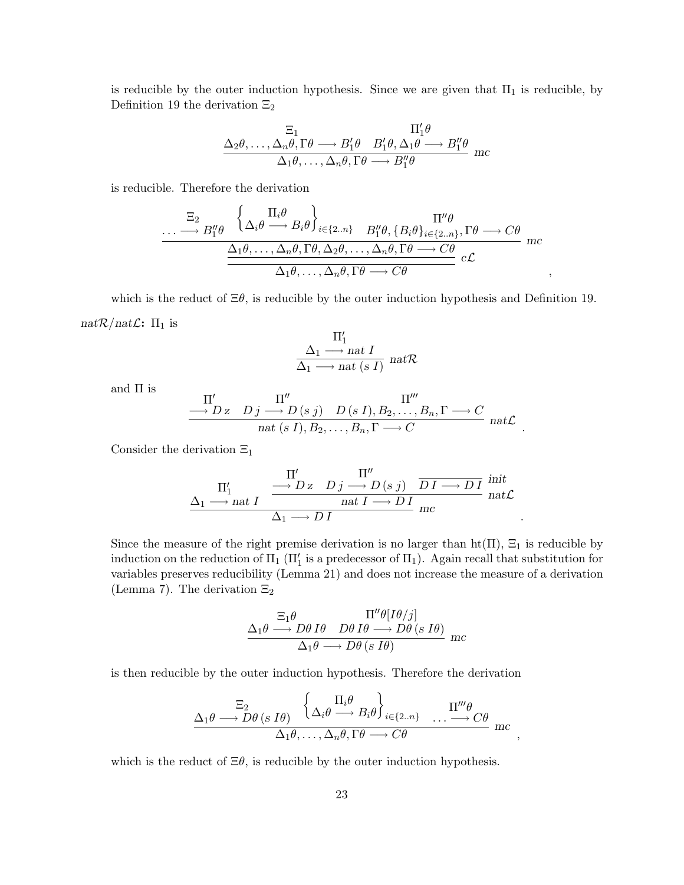is reducible by the outer induction hypothesis. Since we are given that  $\Pi_1$  is reducible, by Definition 19 the derivation  $\Xi_2$ 

$$
\frac{\Xi_1}{\Delta_2 \theta, \dots, \Delta_n \theta, \Gamma \theta \longrightarrow B'_1 \theta} \xrightarrow{\Pi'_1 \theta} B'_2 \theta, \Delta_1 \theta \longrightarrow B''_1 \theta \Delta_1 \theta, \dots, \Delta_n \theta, \Gamma \theta \longrightarrow B''_1 \theta
$$
mc

is reducible. Therefore the derivation

$$
\cdots \longrightarrow B_1^{\prime\prime} \theta \xrightarrow{\begin{pmatrix} \Pi_i \theta \\ \Delta_i \theta \longrightarrow B_i \theta \end{pmatrix}_{i \in \{2..n\}} B_1^{\prime\prime} \theta, \{B_i \theta\}_{i \in \{2..n\}}, \Gamma \theta \longrightarrow C \theta \\ \frac{\Delta_1 \theta, \dots, \Delta_n \theta, \Gamma \theta, \Delta_2 \theta, \dots, \Delta_n \theta, \Gamma \theta \longrightarrow C \theta}{\Delta_1 \theta, \dots, \Delta_n \theta, \Gamma \theta \longrightarrow C \theta} \n\begin{array}{c}\n\Pi^{\prime\prime} \theta \\
\vdots \\
\Omega \end{array}
$$

which is the reduct of  $\Xi\theta$ , is reducible by the outer induction hypothesis and Definition 19.  $nat\mathcal{R}/nat\mathcal{L}$ :  $\Pi_1$  is

$$
\frac{\Pi'_1}{\Delta_1 \longrightarrow nat \; I} \atop \Delta_1 \longrightarrow nat \; (s \; I) \; nat \mathcal{R}
$$

and Π is

$$
\frac{\Pi''}{\longrightarrow D z \quad D j \longrightarrow D (s j) \quad D (s I), B_2, \dots, B_n, \Gamma \longrightarrow C} \text{nat}(s I), B_2, \dots, B_n, \Gamma \longrightarrow C \text{nat} \mathcal{L}
$$

.

.

Consider the derivation  $\Xi_1$ 

$$
\frac{\Pi'_1}{\Delta_1 \longrightarrow nat \ I} \xrightarrow{\Pi''} \frac{\Pi''}{\Delta_1 \longrightarrow D \ Z} \frac{\Pi''}{\Delta_1 \longrightarrow D \ I} \frac{\Pi''}{\Delta_1 \longrightarrow D \ I} \frac{\Pi''}{\Delta_1 \longrightarrow D \ I} \frac{\Pi''}{\Delta_1 \longrightarrow D \ I}
$$

Since the measure of the right premise derivation is no larger than  $\text{ht}(\Pi)$ ,  $\Xi_1$  is reducible by induction on the reduction of  $\Pi_1$  ( $\Pi_1'$  is a predecessor of  $\Pi_1$ ). Again recall that substitution for variables preserves reducibility (Lemma 21) and does not increase the measure of a derivation (Lemma 7). The derivation  $\Xi_2$ 

$$
\frac{\Sigma_1 \theta}{\Delta_1 \theta \longrightarrow D\theta \, I\theta} \xrightarrow{\Pi''\theta [I\theta/j]} D\theta \, I\theta \longrightarrow D\theta \, (s \, I\theta)
$$
\n
$$
\Delta_1 \theta \longrightarrow D\theta \, (s \, I\theta) \quad \text{mc}
$$

is then reducible by the outer induction hypothesis. Therefore the derivation

$$
\frac{\Xi_2}{\Delta_1 \theta \longrightarrow D\theta \ (s \ I\theta)} \ \left\{ \Delta_i \theta \longrightarrow B_i \theta \right\}_{i \in \{2..n\}} \ \dots \longrightarrow C\theta \atop \Delta_1 \theta, \dots, \Delta_n \theta, \Gamma \theta \longrightarrow C\theta \ \text{mc} \ ,
$$

which is the reduct of  $\Xi\theta$ , is reducible by the outer induction hypothesis.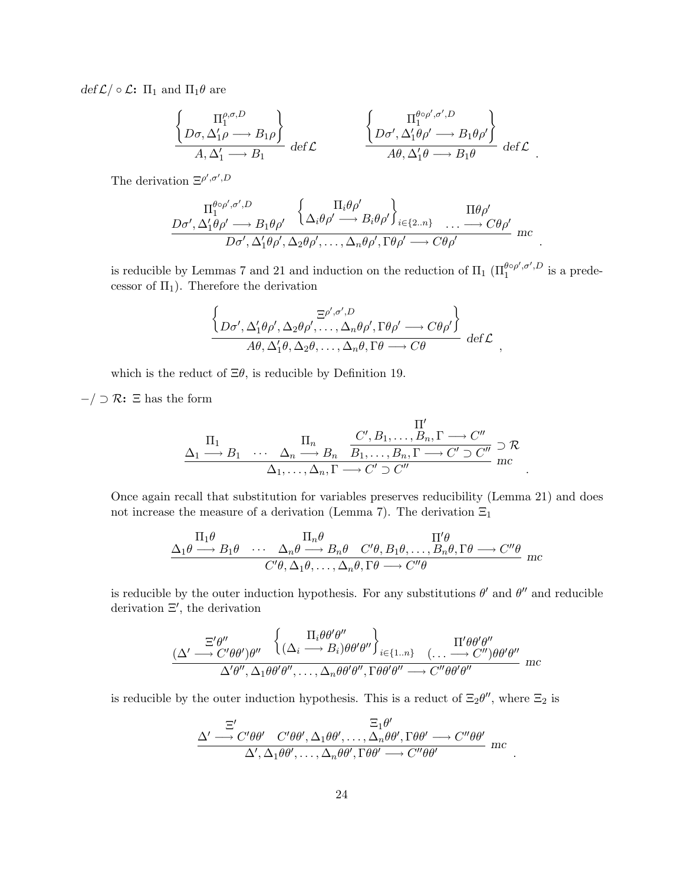$def \mathcal{L}/\circ \mathcal{L}: \Pi_1$  and  $\Pi_1 \theta$  are

$$
\frac{\left\{\n\begin{array}{c}\n\Pi_1^{\rho,\sigma,D} \\
D\sigma,\Delta_1'\rho\longrightarrow B_1\rho\n\end{array}\n\right\}}{\nA,\Delta_1'\longrightarrow B_1}\n\det\mathcal{L}\n\qquad\n\frac{\left\{\n\begin{array}{c}\n\P_1^{\theta\circ\rho',\sigma',D} \\
D\sigma',\Delta_1'\theta\rho'\longrightarrow B_1\theta\rho'\n\end{array}\n\right\}}{\nA\theta,\Delta_1'\theta\longrightarrow B_1\theta}\n\det\mathcal{L}\n\qquad.
$$

The derivation  $\Xi^{\rho',\sigma',D}$ 

$$
\frac{\Pi_1^{\theta \circ \rho', \sigma', D}}{D\sigma', \Delta_1'\theta \rho' \longrightarrow B_1 \theta \rho'} \left\{ \alpha_i \theta \rho' \longrightarrow B_i \theta \rho' \right\}_{i \in \{2..n\}} \dots \longrightarrow C\theta \rho' \n\frac{D\sigma', \Delta_1'\theta \rho', \Delta_2 \theta \rho', \dots, \Delta_n \theta \rho', \Gamma \theta \rho' \longrightarrow C\theta \rho'}{D\sigma', \Delta_1'\theta \rho', \Delta_2 \theta \rho', \dots, \Delta_n \theta \rho', \Gamma \theta \rho' \longrightarrow C\theta \rho'}
$$
mc

.

,

.

.

is reducible by Lemmas 7 and 21 and induction on the reduction of  $\Pi_1$  ( $\Pi_1^{\theta \circ \rho', \sigma', D}$  $_1^{\theta \circ \rho^*, \sigma^*, D}$  is a predecessor of  $\Pi_1$ ). Therefore the derivation

$$
\frac{\left\{D\sigma', \Delta'_1\theta\rho', \Delta_2\theta\rho', \ldots, \Delta_n\theta\rho', \Gamma\theta\rho' \longrightarrow C\theta\rho'\right\}}{A\theta, \Delta'_1\theta, \Delta_2\theta, \ldots, \Delta_n\theta, \Gamma\theta \longrightarrow C\theta} \text{ def }\mathcal{L}
$$

which is the reduct of  $\Xi\theta$ , is reducible by Definition 19.

 $-$ / ⊃ R:  $\Xi$  has the form

$$
\frac{\Pi_1}{\Delta_1 \longrightarrow B_1 \quad \cdots \quad \Delta_n \longrightarrow B_n \quad \frac{C', B_1, \dots, B_n, \Gamma \longrightarrow C''}{B_1, \dots, B_n, \Gamma \longrightarrow C' \supset C''} \supset R
$$
  

$$
\frac{\Delta_1, \dots, \Delta_n, \Gamma \longrightarrow C' \supset C''}{\Delta_1, \dots, \Delta_n, \Gamma \longrightarrow C' \supset C''}
$$

Once again recall that substitution for variables preserves reducibility (Lemma 21) and does not increase the measure of a derivation (Lemma 7). The derivation  $\Xi_1$ 

$$
\frac{\Pi_1 \theta}{\Delta_1 \theta \longrightarrow B_1 \theta} \cdots \frac{\Pi_n \theta}{C' \theta, \Delta_1 \theta, \dots, \Delta_n \theta, \Gamma \theta \longrightarrow C'' \theta} \frac{\Pi' \theta}{C' \theta, \Delta_1 \theta, \dots, \Delta_n \theta, \Gamma \theta \longrightarrow C'' \theta} mc
$$

is reducible by the outer induction hypothesis. For any substitutions  $\theta'$  and  $\theta''$  and reducible derivation  $\Xi'$ , the derivation

$$
\frac{\Xi'\theta''}{(\Delta'\longrightarrow C'\theta\theta')\theta''}\n\left\{\n\begin{array}{l}\n\Pi_i\theta\theta'\theta'' \\
(\Delta_i\longrightarrow B_i)\theta\theta'\theta''\n\end{array}\n\right\}_{i\in\{1..n\}}\n\frac{\Pi'\theta\theta'\theta''}{(\ldots\longrightarrow C'')\theta\theta'\theta''}\n\text{mc}
$$

is reducible by the outer induction hypothesis. This is a reduct of  $\Xi_2 \theta''$ , where  $\Xi_2$  is

$$
\frac{\Xi'}{\Delta'} \xrightarrow{\Xi'} C'\theta\theta' \quad C'\theta\theta', \Delta_1\theta\theta', \dots, \Delta_n\theta\theta', \Gamma\theta\theta' \longrightarrow C''\theta\theta' \quad \text{and} \quad \Delta', \Delta_1\theta\theta', \dots, \Delta_n\theta\theta', \Gamma\theta\theta' \longrightarrow C''\theta\theta' \quad \text{and} \quad \Gamma' \theta' \to \Gamma \theta'
$$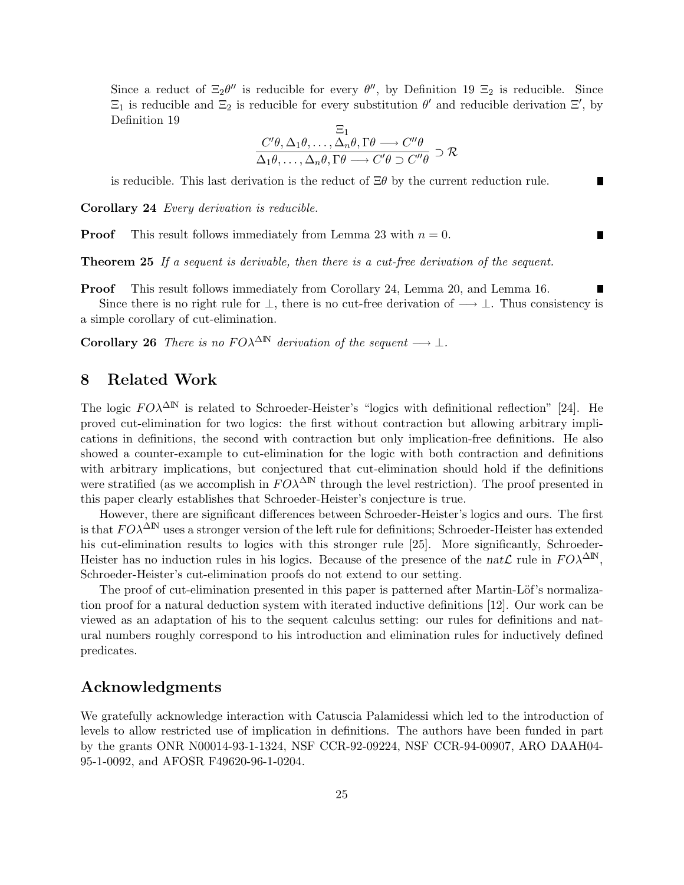Since a reduct of  $\Xi_2 \theta''$  is reducible for every  $\theta''$ , by Definition 19  $\Xi_2$  is reducible. Since  $\Xi_1$  is reducible and  $\Xi_2$  is reducible for every substitution  $\theta'$  and reducible derivation  $\Xi'$ , by Definition 19

$$
\frac{\Xi_1}{\Delta_1 \theta, \dots, \Delta_n \theta, \Gamma \theta \longrightarrow C'' \theta}
$$
\n
$$
\Delta_1 \theta, \dots, \Delta_n \theta, \Gamma \theta \longrightarrow C' \theta \supset C'' \theta \supset \mathcal{R}
$$

is reducible. This last derivation is the reduct of  $\Xi\theta$  by the current reduction rule.

Corollary 24 *Every derivation is reducible.* 

**Proof** This result follows immediately from Lemma 23 with  $n = 0$ .

Theorem 25 If a sequent is derivable, then there is a cut-free derivation of the sequent.

Proof This result follows immediately from Corollary 24, Lemma 20, and Lemma 16.

Since there is no right rule for  $\perp$ , there is no cut-free derivation of  $\longrightarrow \perp$ . Thus consistency is a simple corollary of cut-elimination.

Corollary 26 There is no  $F O \lambda^{\Delta N}$  derivation of the sequent  $\longrightarrow \bot$ .

## 8 Related Work

The logic  $F O \lambda^{\Delta N}$  is related to Schroeder-Heister's "logics with definitional reflection" [24]. He proved cut-elimination for two logics: the first without contraction but allowing arbitrary implications in definitions, the second with contraction but only implication-free definitions. He also showed a counter-example to cut-elimination for the logic with both contraction and definitions with arbitrary implications, but conjectured that cut-elimination should hold if the definitions were stratified (as we accomplish in  $F O\lambda^{\Delta N}$  through the level restriction). The proof presented in this paper clearly establishes that Schroeder-Heister's conjecture is true.

However, there are significant differences between Schroeder-Heister's logics and ours. The first is that  $FO\lambda^{\Delta N}$  uses a stronger version of the left rule for definitions; Schroeder-Heister has extended his cut-elimination results to logics with this stronger rule [25]. More significantly, Schroeder-Heister has no induction rules in his logics. Because of the presence of the nat $\mathcal{L}$  rule in  $F O \lambda^{\Delta N}$ , Schroeder-Heister's cut-elimination proofs do not extend to our setting.

The proof of cut-elimination presented in this paper is patterned after Martin-Löf's normalization proof for a natural deduction system with iterated inductive definitions [12]. Our work can be viewed as an adaptation of his to the sequent calculus setting: our rules for definitions and natural numbers roughly correspond to his introduction and elimination rules for inductively defined predicates.

### Acknowledgments

We gratefully acknowledge interaction with Catuscia Palamidessi which led to the introduction of levels to allow restricted use of implication in definitions. The authors have been funded in part by the grants ONR N00014-93-1-1324, NSF CCR-92-09224, NSF CCR-94-00907, ARO DAAH04- 95-1-0092, and AFOSR F49620-96-1-0204.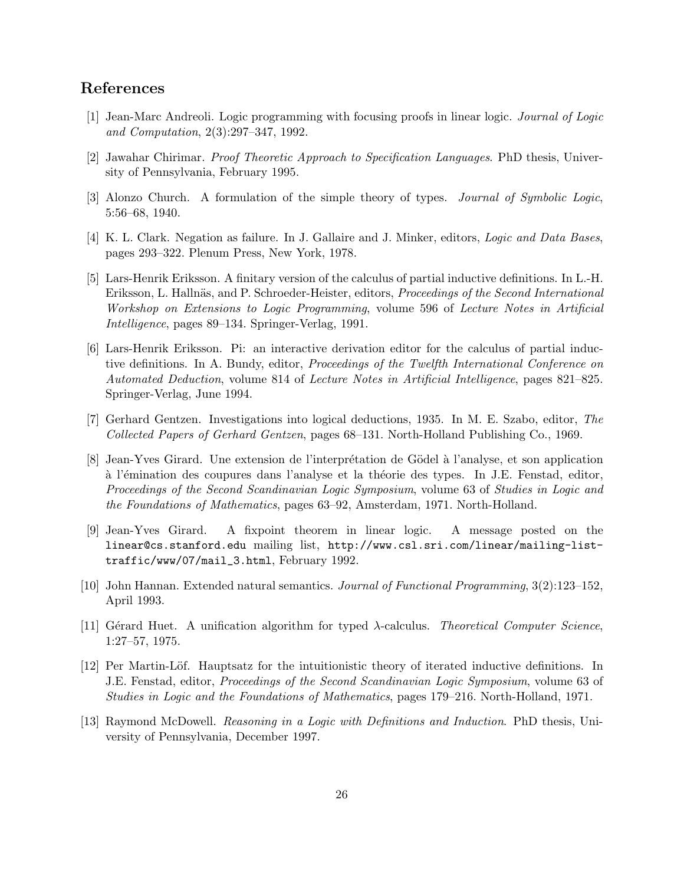## References

- [1] Jean-Marc Andreoli. Logic programming with focusing proofs in linear logic. Journal of Logic and Computation, 2(3):297–347, 1992.
- [2] Jawahar Chirimar. Proof Theoretic Approach to Specification Languages. PhD thesis, University of Pennsylvania, February 1995.
- [3] Alonzo Church. A formulation of the simple theory of types. Journal of Symbolic Logic, 5:56–68, 1940.
- [4] K. L. Clark. Negation as failure. In J. Gallaire and J. Minker, editors, Logic and Data Bases, pages 293–322. Plenum Press, New York, 1978.
- [5] Lars-Henrik Eriksson. A finitary version of the calculus of partial inductive definitions. In L.-H. Eriksson, L. Hallnäs, and P. Schroeder-Heister, editors, Proceedings of the Second International Workshop on Extensions to Logic Programming, volume 596 of Lecture Notes in Artificial Intelligence, pages 89–134. Springer-Verlag, 1991.
- [6] Lars-Henrik Eriksson. Pi: an interactive derivation editor for the calculus of partial inductive definitions. In A. Bundy, editor, Proceedings of the Twelfth International Conference on Automated Deduction, volume 814 of Lecture Notes in Artificial Intelligence, pages 821–825. Springer-Verlag, June 1994.
- [7] Gerhard Gentzen. Investigations into logical deductions, 1935. In M. E. Szabo, editor, The Collected Papers of Gerhard Gentzen, pages 68–131. North-Holland Publishing Co., 1969.
- [8] Jean-Yves Girard. Une extension de l'interprétation de Gödel à l'analyse, et son application à l'émination des coupures dans l'analyse et la théorie des types. In J.E. Fenstad, editor, Proceedings of the Second Scandinavian Logic Symposium, volume 63 of Studies in Logic and the Foundations of Mathematics, pages 63–92, Amsterdam, 1971. North-Holland.
- [9] Jean-Yves Girard. A fixpoint theorem in linear logic. A message posted on the linear@cs.stanford.edu mailing list, http://www.csl.sri.com/linear/mailing-listtraffic/www/07/mail\_3.html, February 1992.
- [10] John Hannan. Extended natural semantics. Journal of Functional Programming, 3(2):123–152, April 1993.
- [11] Gérard Huet. A unification algorithm for typed  $\lambda$ -calculus. Theoretical Computer Science, 1:27–57, 1975.
- [12] Per Martin-Löf. Hauptsatz for the intuitionistic theory of iterated inductive definitions. In J.E. Fenstad, editor, Proceedings of the Second Scandinavian Logic Symposium, volume 63 of Studies in Logic and the Foundations of Mathematics, pages 179–216. North-Holland, 1971.
- [13] Raymond McDowell. Reasoning in a Logic with Definitions and Induction. PhD thesis, University of Pennsylvania, December 1997.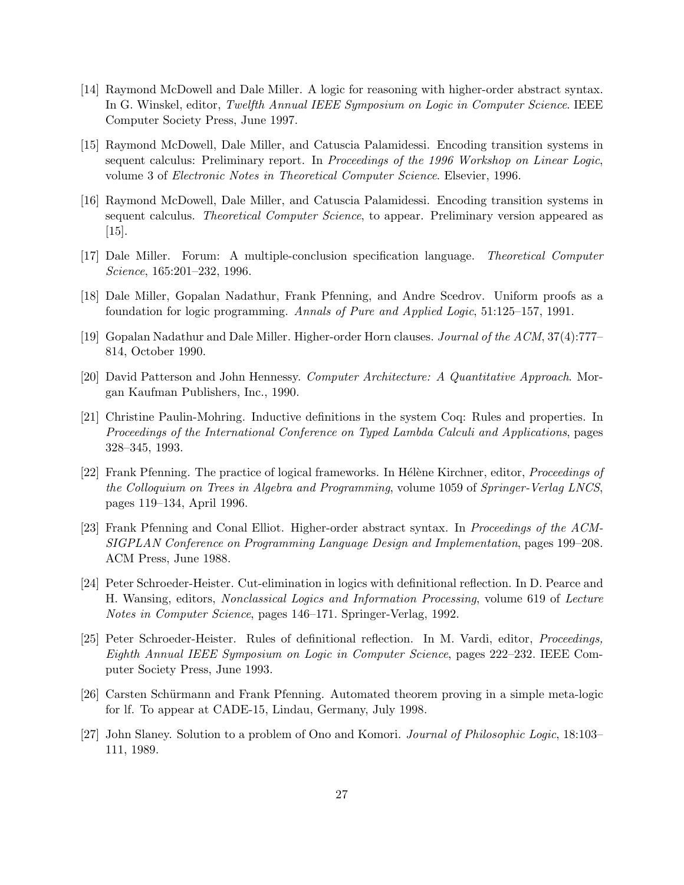- [14] Raymond McDowell and Dale Miller. A logic for reasoning with higher-order abstract syntax. In G. Winskel, editor, Twelfth Annual IEEE Symposium on Logic in Computer Science. IEEE Computer Society Press, June 1997.
- [15] Raymond McDowell, Dale Miller, and Catuscia Palamidessi. Encoding transition systems in sequent calculus: Preliminary report. In Proceedings of the 1996 Workshop on Linear Logic, volume 3 of Electronic Notes in Theoretical Computer Science. Elsevier, 1996.
- [16] Raymond McDowell, Dale Miller, and Catuscia Palamidessi. Encoding transition systems in sequent calculus. *Theoretical Computer Science*, to appear. Preliminary version appeared as [15].
- [17] Dale Miller. Forum: A multiple-conclusion specification language. Theoretical Computer Science, 165:201–232, 1996.
- [18] Dale Miller, Gopalan Nadathur, Frank Pfenning, and Andre Scedrov. Uniform proofs as a foundation for logic programming. Annals of Pure and Applied Logic, 51:125–157, 1991.
- [19] Gopalan Nadathur and Dale Miller. Higher-order Horn clauses. Journal of the ACM, 37(4):777– 814, October 1990.
- [20] David Patterson and John Hennessy. Computer Architecture: A Quantitative Approach. Morgan Kaufman Publishers, Inc., 1990.
- [21] Christine Paulin-Mohring. Inductive definitions in the system Coq: Rules and properties. In Proceedings of the International Conference on Typed Lambda Calculi and Applications, pages 328–345, 1993.
- [22] Frank Pfenning. The practice of logical frameworks. In Hélène Kirchner, editor, *Proceedings of* the Colloquium on Trees in Algebra and Programming, volume 1059 of Springer-Verlag LNCS, pages 119–134, April 1996.
- [23] Frank Pfenning and Conal Elliot. Higher-order abstract syntax. In Proceedings of the ACM-SIGPLAN Conference on Programming Language Design and Implementation, pages 199–208. ACM Press, June 1988.
- [24] Peter Schroeder-Heister. Cut-elimination in logics with definitional reflection. In D. Pearce and H. Wansing, editors, Nonclassical Logics and Information Processing, volume 619 of Lecture Notes in Computer Science, pages 146–171. Springer-Verlag, 1992.
- [25] Peter Schroeder-Heister. Rules of definitional reflection. In M. Vardi, editor, Proceedings, Eighth Annual IEEE Symposium on Logic in Computer Science, pages 222–232. IEEE Computer Society Press, June 1993.
- [26] Carsten Schürmann and Frank Pfenning. Automated theorem proving in a simple meta-logic for lf. To appear at CADE-15, Lindau, Germany, July 1998.
- [27] John Slaney. Solution to a problem of Ono and Komori. Journal of Philosophic Logic, 18:103– 111, 1989.